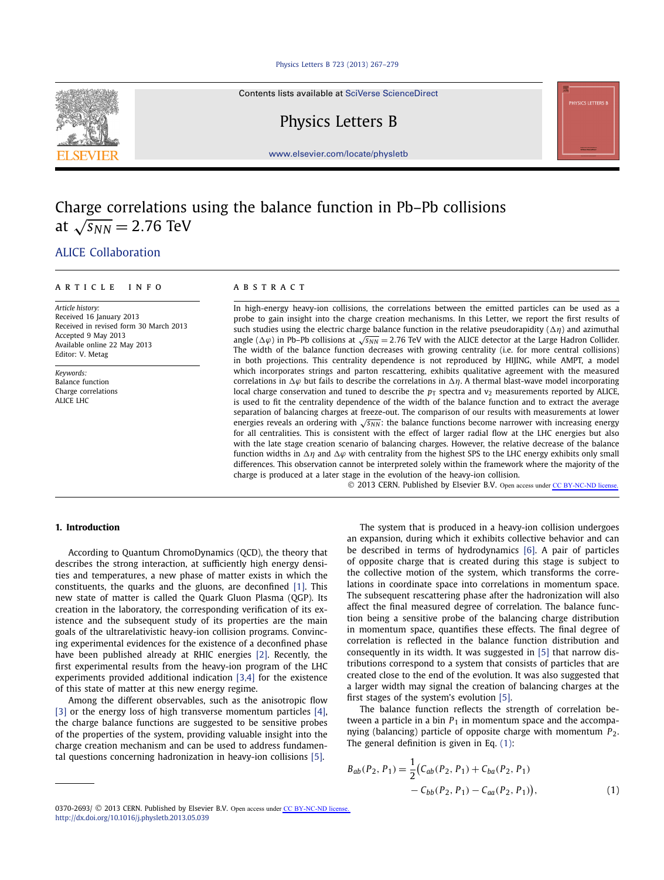Contents lists available at [SciVerse ScienceDirect](http://www.ScienceDirect.com/)

Physics Letters B

[www.elsevier.com/locate/physletb](http://www.elsevier.com/locate/physletb)

# Charge correlations using the balance function in Pb–Pb collisions at  $\sqrt{s_{NN}} = 2.76$  TeV

## [.ALICE Collaboration](#page-7-0)

#### article info abstract

*Article history:* Received 16 January 2013 Received in revised form 30 March 2013 Accepted 9 May 2013 Available online 22 May 2013 Editor: V. Metag

*Keywords:* Balance function Charge correlations ALICE LHC

In high-energy heavy-ion collisions, the correlations between the emitted particles can be used as a probe to gain insight into the charge creation mechanisms. In this Letter, we report the first results of such studies using the electric charge balance function in the relative pseudorapidity (*-η*) and azimuthal angle ( $\Delta\varphi$ ) in Pb–Pb collisions at  $\sqrt{s_{NN}}$  = 2.76 TeV with the ALICE detector at the Large Hadron Collider. The width of the balance function decreases with growing centrality (i.e. for more central collisions) in both projections. This centrality dependence is not reproduced by HIJING, while AMPT, a model which incorporates strings and parton rescattering, exhibits qualitative agreement with the measured correlations in  $\Delta\varphi$  but fails to describe the correlations in  $\Delta\eta$ . A thermal blast-wave model incorporating local charge conservation and tuned to describe the  $p<sub>T</sub>$  spectra and  $v<sub>2</sub>$  measurements reported by ALICE, is used to fit the centrality dependence of the width of the balance function and to extract the average separation of balancing charges at freeze-out. The comparison of our results with measurements at lower energies reveals an ordering with  $\sqrt{s_{NN}}$ : the balance functions become narrower with increasing energy for all centralities. This is consistent with the effect of larger radial flow at the LHC energies but also with the late stage creation scenario of balancing charges. However, the relative decrease of the balance function widths in  $\Delta \eta$  and  $\Delta \varphi$  with centrality from the highest SPS to the LHC energy exhibits only small differences. This observation cannot be interpreted solely within the framework where the majority of the charge is produced at a later stage in the evolution of the heavy-ion collision.

© 2013 CERN. Published by Elsevier B.V. Open access under [CC BY-NC-ND license.](http://creativecommons.org/licenses/by-nc-nd/4.0/)

### **1. Introduction**

According to Quantum ChromoDynamics (QCD), the theory that describes the strong interaction, at sufficiently high energy densities and temperatures, a new phase of matter exists in which the constituents, the quarks and the gluons, are deconfined [\[1\].](#page-7-0) This new state of matter is called the Quark Gluon Plasma (QGP). Its creation in the laboratory, the corresponding verification of its existence and the subsequent study of its properties are the main goals of the ultrarelativistic heavy-ion collision programs. Convincing experimental evidences for the existence of a deconfined phase have been published already at RHIC energies [\[2\].](#page-7-0) Recently, the first experimental results from the heavy-ion program of the LHC experiments provided additional indication [\[3,4\]](#page-7-0) for the existence of this state of matter at this new energy regime.

Among the different observables, such as the anisotropic flow [\[3\]](#page-7-0) or the energy loss of high transverse momentum particles [\[4\],](#page-7-0) the charge balance functions are suggested to be sensitive probes of the properties of the system, providing valuable insight into the charge creation mechanism and can be used to address fundamental questions concerning hadronization in heavy-ion collisions [\[5\].](#page-7-0)

The system that is produced in a heavy-ion collision undergoes an expansion, during which it exhibits collective behavior and can be described in terms of hydrodynamics [\[6\].](#page-7-0) A pair of particles of opposite charge that is created during this stage is subject to the collective motion of the system, which transforms the correlations in coordinate space into correlations in momentum space. The subsequent rescattering phase after the hadronization will also affect the final measured degree of correlation. The balance function being a sensitive probe of the balancing charge distribution in momentum space, quantifies these effects. The final degree of correlation is reflected in the balance function distribution and consequently in its width. It was suggested in [\[5\]](#page-7-0) that narrow distributions correspond to a system that consists of particles that are created close to the end of the evolution. It was also suggested that a larger width may signal the creation of balancing charges at the first stages of the system's evolution [\[5\].](#page-7-0)

The balance function reflects the strength of correlation between a particle in a bin  $P_1$  in momentum space and the accompanying (balancing) particle of opposite charge with momentum *P*2. The general definition is given in Eq. (1):

$$
B_{ab}(P_2, P_1) = \frac{1}{2} (C_{ab}(P_2, P_1) + C_{ba}(P_2, P_1) - C_{bb}(P_2, P_1) - C_{aa}(P_2, P_1)),
$$
\n(1)



<sup>0370-2693/ © 2013</sup> CERN. Published by Elsevier B.V. Open access under [CC BY-NC-ND license.](http://creativecommons.org/licenses/by-nc-nd/4.0/) <http://dx.doi.org/10.1016/j.physletb.2013.05.039>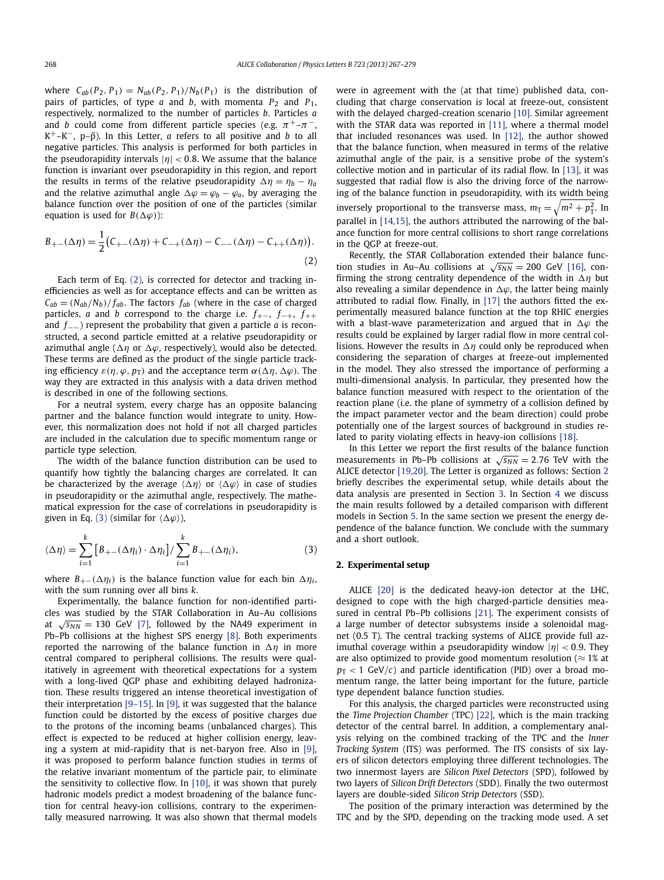<span id="page-1-0"></span>where  $C_{ab}(P_2, P_1) = N_{ab}(P_2, P_1)/N_b(P_1)$  is the distribution of pairs of particles, of type  $a$  and  $b$ , with momenta  $P_2$  and  $P_1$ , respectively, normalized to the number of particles *b*. Particles *a* and *b* could come from different particle species (e.g.  $\pi^+$ – $\pi^-$ , K+–K−, p–p). In this Letter, *a* refers to all positive and *b* to all negative particles. This analysis is performed for both particles in the pseudorapidity intervals  $|\eta|$  < 0.8. We assume that the balance function is invariant over pseudorapidity in this region, and report the results in terms of the relative pseudorapidity  $\Delta \eta = \eta_b - \eta_a$ and the relative azimuthal angle  $\Delta \varphi = \varphi_b - \varphi_a$ , by averaging the balance function over the position of one of the particles (similar equation is used for  $B(\Delta \varphi)$ :

$$
B_{+-}(\Delta \eta) = \frac{1}{2} (C_{+-}(\Delta \eta) + C_{-+}(\Delta \eta) - C_{--}(\Delta \eta) - C_{++}(\Delta \eta)).
$$
\n(2)

Each term of Eq. (2), is corrected for detector and tracking inefficiencies as well as for acceptance effects and can be written as  $C_{ab} = (N_{ab}/N_b)/f_{ab}$ . The factors  $f_{ab}$  (where in the case of charged particles, *a* and *b* correspond to the charge i.e.  $f_{+-}$ ,  $f_{-+}$ ,  $f_{++}$ and *f*−−) represent the probability that given a particle *a* is reconstructed, a second particle emitted at a relative pseudorapidity or azimuthal angle ( $\Delta \eta$  or  $\Delta \varphi$ , respectively), would also be detected. These terms are defined as the product of the single particle track- $\log$  efficiency  $\varepsilon(\eta, \varphi, p_{\text{T}})$  and the acceptance term  $\alpha(\Delta \eta, \Delta \varphi)$ . The way they are extracted in this analysis with a data driven method is described in one of the following sections.

For a neutral system, every charge has an opposite balancing partner and the balance function would integrate to unity. However, this normalization does not hold if not all charged particles are included in the calculation due to specific momentum range or particle type selection.

The width of the balance function distribution can be used to quantify how tightly the balancing charges are correlated. It can be characterized by the average  $\langle \Delta \eta \rangle$  or  $\langle \Delta \varphi \rangle$  in case of studies in pseudorapidity or the azimuthal angle, respectively. The mathematical expression for the case of correlations in pseudorapidity is given in Eq. (3) (similar for  $\langle \Delta \varphi \rangle$ ),

$$
\langle \Delta \eta \rangle = \sum_{i=1}^{k} \left[ B_{+-} (\Delta \eta_i) \cdot \Delta \eta_i \right] / \sum_{i=1}^{k} B_{+-} (\Delta \eta_i), \tag{3}
$$

where  $B_{+-}(\Delta \eta_i)$  is the balance function value for each bin  $\Delta \eta_i$ , with the sum running over all bins *k*.

Experimentally, the balance function for non-identified particles was studied by the STAR Collaboration in Au–Au collisions at  $\sqrt{s_{NN}}$  = 130 GeV [\[7\],](#page-7-0) followed by the NA49 experiment in Pb–Pb collisions at the highest SPS energy [\[8\].](#page-7-0) Both experiments reported the narrowing of the balance function in  $\Delta \eta$  in more central compared to peripheral collisions. The results were qualitatively in agreement with theoretical expectations for a system with a long-lived QGP phase and exhibiting delayed hadronization. These results triggered an intense theoretical investigation of their interpretation [\[9–15\].](#page-7-0) In [\[9\],](#page-7-0) it was suggested that the balance function could be distorted by the excess of positive charges due to the protons of the incoming beams (unbalanced charges). This effect is expected to be reduced at higher collision energy, leaving a system at mid-rapidity that is net-baryon free. Also in [\[9\],](#page-7-0) it was proposed to perform balance function studies in terms of the relative invariant momentum of the particle pair, to eliminate the sensitivity to collective flow. In  $[10]$ , it was shown that purely hadronic models predict a modest broadening of the balance function for central heavy-ion collisions, contrary to the experimentally measured narrowing. It was also shown that thermal models were in agreement with the (at that time) published data, concluding that charge conservation is local at freeze-out, consistent with the delayed charged-creation scenario [\[10\].](#page-7-0) Similar agreement with the STAR data was reported in [\[11\],](#page-7-0) where a thermal model that included resonances was used. In [\[12\],](#page-7-0) the author showed that the balance function, when measured in terms of the relative azimuthal angle of the pair, is a sensitive probe of the system's collective motion and in particular of its radial flow. In [\[13\],](#page-7-0) it was suggested that radial flow is also the driving force of the narrowing of the balance function in pseudorapidity, with its width being inversely proportional to the transverse mass,  $m_T = \sqrt{m^2 + p_T^2}$ . In parallel in [\[14,15\],](#page-7-0) the authors attributed the narrowing of the balance function for more central collisions to short range correlations in the QGP at freeze-out.

Recently, the STAR Collaboration extended their balance function studies in Au–Au collisions at  $\sqrt{s_{NN}} = 200$  GeV [\[16\],](#page-7-0) confirming the strong centrality dependence of the width in  $\Delta \eta$  but also revealing a similar dependence in  $\Delta\varphi$ , the latter being mainly attributed to radial flow. Finally, in [\[17\]](#page-7-0) the authors fitted the experimentally measured balance function at the top RHIC energies with a blast-wave parameterization and argued that in  $\Delta \varphi$  the results could be explained by larger radial flow in more central collisions. However the results in  $\Delta \eta$  could only be reproduced when considering the separation of charges at freeze-out implemented in the model. They also stressed the importance of performing a multi-dimensional analysis. In particular, they presented how the balance function measured with respect to the orientation of the reaction plane (i.e. the plane of symmetry of a collision defined by the impact parameter vector and the beam direction) could probe potentially one of the largest sources of background in studies related to parity violating effects in heavy-ion collisions [\[18\].](#page-7-0)

In this Letter we report the first results of the balance function measurements in Pb–Pb collisions at  $\sqrt{s_{NN}} = 2.76$  TeV with the ALICE detector [\[19,20\].](#page-7-0) The Letter is organized as follows: Section 2 briefly describes the experimental setup, while details about the data analysis are presented in Section [3.](#page-2-0) In Section [4](#page-2-0) we discuss the main results followed by a detailed comparison with different models in Section [5.](#page-3-0) In the same section we present the energy dependence of the balance function. We conclude with the summary and a short outlook.

#### **2. Experimental setup**

ALICE [\[20\]](#page-7-0) is the dedicated heavy-ion detector at the LHC, designed to cope with the high charged-particle densities measured in central Pb–Pb collisions [\[21\].](#page-7-0) The experiment consists of a large number of detector subsystems inside a solenoidal magnet (0.5 T). The central tracking systems of ALICE provide full azimuthal coverage within a pseudorapidity window |*η*| *<* <sup>0</sup>*.*9. They are also optimized to provide good momentum resolution ( $\approx$  1% at  $p_T < 1$  GeV/*c*) and particle identification (PID) over a broad momentum range, the latter being important for the future, particle type dependent balance function studies.

For this analysis, the charged particles were reconstructed using the *Time Projection Chamber* (TPC) [\[22\],](#page-7-0) which is the main tracking detector of the central barrel. In addition, a complementary analysis relying on the combined tracking of the TPC and the *Inner Tracking System* (ITS) was performed. The ITS consists of six layers of silicon detectors employing three different technologies. The two innermost layers are *Silicon Pixel Detectors* (SPD), followed by two layers of *Silicon Drift Detectors* (SDD). Finally the two outermost layers are double-sided *Silicon Strip Detectors* (SSD).

The position of the primary interaction was determined by the TPC and by the SPD, depending on the tracking mode used. A set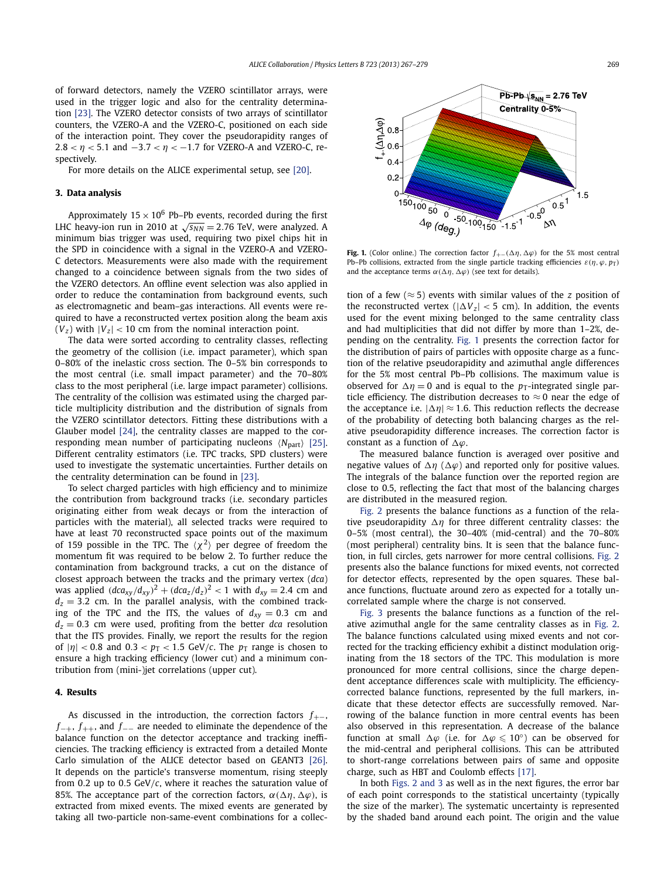<span id="page-2-0"></span>of forward detectors, namely the VZERO scintillator arrays, were used in the trigger logic and also for the centrality determination [\[23\].](#page-7-0) The VZERO detector consists of two arrays of scintillator counters, the VZERO-A and the VZERO-C, positioned on each side of the interaction point. They cover the pseudorapidity ranges of <sup>2</sup>*.*<sup>8</sup> *< η <* <sup>5</sup>*.*1 and −3*.*<sup>7</sup> *< η <* −1*.*7 for VZERO-A and VZERO-C, respectively.

For more details on the ALICE experimental setup, see [\[20\].](#page-7-0)

#### **3. Data analysis**

Approximately  $15 \times 10^6$  Pb–Pb events, recorded during the first LHC heavy-ion run in 2010 at  $\sqrt{s_{NN}}$  = 2.76 TeV, were analyzed. A minimum bias trigger was used, requiring two pixel chips hit in the SPD in coincidence with a signal in the VZERO-A and VZERO-C detectors. Measurements were also made with the requirement changed to a coincidence between signals from the two sides of the VZERO detectors. An offline event selection was also applied in order to reduce the contamination from background events, such as electromagnetic and beam–gas interactions. All events were required to have a reconstructed vertex position along the beam axis  $(V_z)$  with  $|V_z|$  < 10 cm from the nominal interaction point.

The data were sorted according to centrality classes, reflecting the geometry of the collision (i.e. impact parameter), which span 0–80% of the inelastic cross section. The 0–5% bin corresponds to the most central (i.e. small impact parameter) and the 70–80% class to the most peripheral (i.e. large impact parameter) collisions. The centrality of the collision was estimated using the charged particle multiplicity distribution and the distribution of signals from the VZERO scintillator detectors. Fitting these distributions with a Glauber model [\[24\],](#page-7-0) the centrality classes are mapped to the corresponding mean number of participating nucleons  $\langle N_{\text{part}}\rangle$  [\[25\].](#page-7-0) Different centrality estimators (i.e. TPC tracks, SPD clusters) were used to investigate the systematic uncertainties. Further details on the centrality determination can be found in [\[23\].](#page-7-0)

To select charged particles with high efficiency and to minimize the contribution from background tracks (i.e. secondary particles originating either from weak decays or from the interaction of particles with the material), all selected tracks were required to have at least 70 reconstructed space points out of the maximum of 159 possible in the TPC. The  $\langle \chi^2 \rangle$  per degree of freedom the momentum fit was required to be below 2. To further reduce the contamination from background tracks, a cut on the distance of closest approach between the tracks and the primary vertex (*dca*) was applied  $(dca_{xy}/d_{xy})^2 + (dca_z/d_z)^2 < 1$  with  $d_{xy} = 2.4$  cm and  $d<sub>z</sub> = 3.2$  cm. In the parallel analysis, with the combined tracking of the TPC and the ITS, the values of  $d_{xy} = 0.3$  cm and  $d<sub>z</sub> = 0.3$  cm were used, profiting from the better *dca* resolution that the ITS provides. Finally, we report the results for the region of  $|\eta| < 0.8$  and  $0.3 < p_T < 1.5$  GeV/c. The  $p_T$  range is chosen to ensure a high tracking efficiency (lower cut) and a minimum contribution from (mini-)jet correlations (upper cut).

#### **4. Results**

As discussed in the introduction, the correction factors *f*+−, *f*−+, *f*++, and *f*−− are needed to eliminate the dependence of the balance function on the detector acceptance and tracking inefficiencies. The tracking efficiency is extracted from a detailed Monte Carlo simulation of the ALICE detector based on GEANT3 [\[26\].](#page-7-0) It depends on the particle's transverse momentum, rising steeply from 0*.*2 up to 0*.*5 GeV*/c*, where it reaches the saturation value of 85%. The acceptance part of the correction factors,  $\alpha(\Delta \eta, \Delta \varphi)$ , is extracted from mixed events. The mixed events are generated by taking all two-particle non-same-event combinations for a collec-



**Fig. 1.** (Color online.) The correction factor  $f_{+-}(\Delta \eta, \Delta \varphi)$  for the 5% most central Pb–Pb collisions, extracted from the single particle tracking efficiencies  $ε(η, φ, p<sub>T</sub>)$ and the acceptance terms  $\alpha(\Delta \eta, \Delta \varphi)$  (see text for details).

tion of a few  $(\approx 5)$  events with similar values of the *z* position of the reconstructed vertex ( $|\Delta V_z|$  < 5 cm). In addition, the events used for the event mixing belonged to the same centrality class and had multiplicities that did not differ by more than 1–2%, depending on the centrality. Fig. 1 presents the correction factor for the distribution of pairs of particles with opposite charge as a function of the relative pseudorapidity and azimuthal angle differences for the 5% most central Pb–Pb collisions. The maximum value is observed for  $\Delta \eta = 0$  and is equal to the *p*<sub>T</sub>-integrated single particle efficiency. The distribution decreases to  $\approx$  0 near the edge of the acceptance i.e.  $|\Delta \eta| \approx 1.6$ . This reduction reflects the decrease of the probability of detecting both balancing charges as the relative pseudorapidity difference increases. The correction factor is constant as a function of  $\Delta \varphi$ .

The measured balance function is averaged over positive and negative values of  $\Delta \eta$  ( $\Delta \varphi$ ) and reported only for positive values. The integrals of the balance function over the reported region are close to 0.5, reflecting the fact that most of the balancing charges are distributed in the measured region.

[Fig. 2](#page-3-0) presents the balance functions as a function of the relative pseudorapidity  $\Delta \eta$  for three different centrality classes: the 0–5% (most central), the 30–40% (mid-central) and the 70–80% (most peripheral) centrality bins. It is seen that the balance function, in full circles, gets narrower for more central collisions. [Fig. 2](#page-3-0) presents also the balance functions for mixed events, not corrected for detector effects, represented by the open squares. These balance functions, fluctuate around zero as expected for a totally uncorrelated sample where the charge is not conserved.

[Fig. 3](#page-3-0) presents the balance functions as a function of the relative azimuthal angle for the same centrality classes as in [Fig. 2.](#page-3-0) The balance functions calculated using mixed events and not corrected for the tracking efficiency exhibit a distinct modulation originating from the 18 sectors of the TPC. This modulation is more pronounced for more central collisions, since the charge dependent acceptance differences scale with multiplicity. The efficiencycorrected balance functions, represented by the full markers, indicate that these detector effects are successfully removed. Narrowing of the balance function in more central events has been also observed in this representation. A decrease of the balance function at small  $\Delta\varphi$  (i.e. for  $\Delta\varphi \leqslant 10^{\circ}$ ) can be observed for the mid-central and peripheral collisions. This can be attributed to short-range correlations between pairs of same and opposite charge, such as HBT and Coulomb effects [\[17\].](#page-7-0)

In both [Figs. 2 and 3](#page-3-0) as well as in the next figures, the error bar of each point corresponds to the statistical uncertainty (typically the size of the marker). The systematic uncertainty is represented by the shaded band around each point. The origin and the value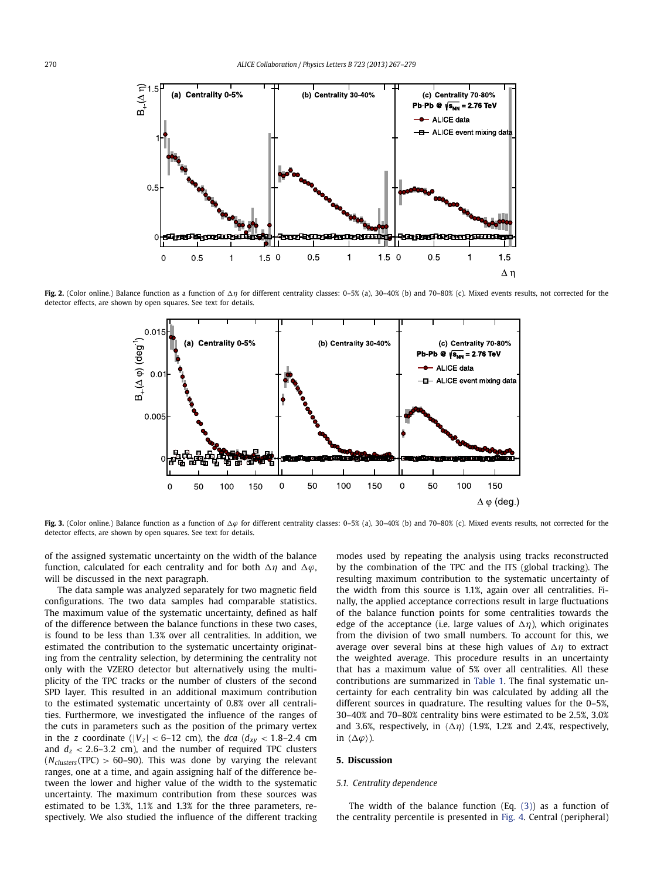<span id="page-3-0"></span>

**Fig. 2.** (Color online.) Balance function as a function of  $\Delta \eta$  for different centrality classes: 0–5% (a), 30–40% (b) and 70–80% (c). Mixed events results, not corrected for the detector effects, are shown by open squares. See text for details.



**Fig. 3.** (Color online.) Balance function as a function of  $\Delta\varphi$  for different centrality classes: 0-5% (a), 30–40% (b) and 70–80% (c). Mixed events results, not corrected for the detector effects, are shown by open squares. See text for details.

of the assigned systematic uncertainty on the width of the balance function, calculated for each centrality and for both  $\Delta \eta$  and  $\Delta \varphi$ , will be discussed in the next paragraph.

The data sample was analyzed separately for two magnetic field configurations. The two data samples had comparable statistics. The maximum value of the systematic uncertainty, defined as half of the difference between the balance functions in these two cases, is found to be less than 1.3% over all centralities. In addition, we estimated the contribution to the systematic uncertainty originating from the centrality selection, by determining the centrality not only with the VZERO detector but alternatively using the multiplicity of the TPC tracks or the number of clusters of the second SPD layer. This resulted in an additional maximum contribution to the estimated systematic uncertainty of 0.8% over all centralities. Furthermore, we investigated the influence of the ranges of the cuts in parameters such as the position of the primary vertex in the *z* coordinate ( $|V_z|$  < 6–12 cm), the *dca* ( $d_{xy}$  < 1.8–2.4 cm and  $d_z < 2.6$ –3.2 cm), and the number of required TPC clusters (*Nclusters(*TPC*) >* 60–90). This was done by varying the relevant ranges, one at a time, and again assigning half of the difference between the lower and higher value of the width to the systematic uncertainty. The maximum contribution from these sources was estimated to be 1.3%, 1.1% and 1.3% for the three parameters, respectively. We also studied the influence of the different tracking modes used by repeating the analysis using tracks reconstructed by the combination of the TPC and the ITS (global tracking). The resulting maximum contribution to the systematic uncertainty of the width from this source is 1.1%, again over all centralities. Finally, the applied acceptance corrections result in large fluctuations of the balance function points for some centralities towards the edge of the acceptance (i.e. large values of  $\Delta \eta$ ), which originates from the division of two small numbers. To account for this, we average over several bins at these high values of  $\Delta \eta$  to extract the weighted average. This procedure results in an uncertainty that has a maximum value of 5% over all centralities. All these contributions are summarized in [Table 1.](#page-4-0) The final systematic uncertainty for each centrality bin was calculated by adding all the different sources in quadrature. The resulting values for the 0–5%, 30–40% and 70–80% centrality bins were estimated to be 2.5%, 3.0% and 3.6%, respectively, in  $\langle \Delta \eta \rangle$  (1.9%, 1.2% and 2.4%, respectively, in  $\langle \Delta \varphi \rangle$ ).

#### **5. Discussion**

#### *5.1. Centrality dependence*

The width of the balance function (Eq. [\(3\)\)](#page-1-0) as a function of the centrality percentile is presented in [Fig. 4.](#page-4-0) Central (peripheral)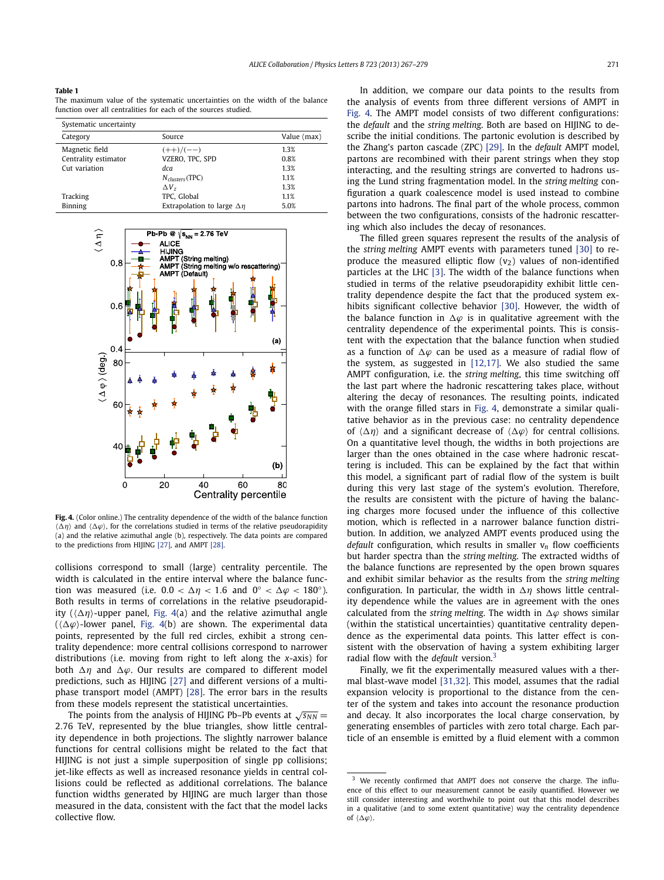#### <span id="page-4-0"></span>**Table 1**

The maximum value of the systematic uncertainties on the width of the balance function over all centralities for each of the sources studied.

| Systematic uncertainty |                                      |             |
|------------------------|--------------------------------------|-------------|
| Category               | Source                               | Value (max) |
| Magnetic field         | $(++)/(--)$                          | 1.3%        |
| Centrality estimator   | VZERO, TPC, SPD                      | 0.8%        |
| Cut variation          | dca                                  | 1.3%        |
|                        | $N_{clusters}$ (TPC)                 | 1.1%        |
|                        | $\Delta V_{\tau}$                    | 1.3%        |
| Tracking               | TPC. Global                          | 1.1%        |
| <b>Binning</b>         | Extrapolation to large $\Delta \eta$ | 5.0%        |



**Fig. 4.** (Color online.) The centrality dependence of the width of the balance function  $\langle \Delta \eta \rangle$  and  $\langle \Delta \varphi \rangle$ , for the correlations studied in terms of the relative pseudorapidity (a) and the relative azimuthal angle (b), respectively. The data points are compared to the predictions from HIJING [\[27\],](#page-7-0) and AMPT [\[28\].](#page-7-0)

collisions correspond to small (large) centrality percentile. The width is calculated in the entire interval where the balance function was measured (i.e.  $0.0 < \Delta \eta < 1.6$  and  $0^\circ < \Delta \varphi < 180^\circ$ ). Both results in terms of correlations in the relative pseudorapidity  $(\langle \Delta \eta \rangle$ -upper panel, Fig. 4(a) and the relative azimuthal angle  $(\langle \Delta \varphi \rangle$ -lower panel, Fig. 4(b) are shown. The experimental data points, represented by the full red circles, exhibit a strong centrality dependence: more central collisions correspond to narrower distributions (i.e. moving from right to left along the *x*-axis) for both  $\Delta \eta$  and  $\Delta \varphi$ . Our results are compared to different model predictions, such as HIJING [\[27\]](#page-7-0) and different versions of a multiphase transport model (AMPT) [\[28\].](#page-7-0) The error bars in the results from these models represent the statistical uncertainties.

The points from the analysis of HIJING Pb–Pb events at  $\sqrt{s_{NN}}$  = 2*.*76 TeV, represented by the blue triangles, show little centrality dependence in both projections. The slightly narrower balance functions for central collisions might be related to the fact that HIJING is not just a simple superposition of single pp collisions; jet-like effects as well as increased resonance yields in central collisions could be reflected as additional correlations. The balance function widths generated by HIJING are much larger than those measured in the data, consistent with the fact that the model lacks collective flow.

In addition, we compare our data points to the results from the analysis of events from three different versions of AMPT in Fig. 4. The AMPT model consists of two different configurations: the *default* and the *string melting*. Both are based on HIJING to describe the initial conditions. The partonic evolution is described by the Zhang's parton cascade (ZPC) [\[29\].](#page-7-0) In the *default* AMPT model, partons are recombined with their parent strings when they stop interacting, and the resulting strings are converted to hadrons using the Lund string fragmentation model. In the *string melting* configuration a quark coalescence model is used instead to combine partons into hadrons. The final part of the whole process, common between the two configurations, consists of the hadronic rescattering which also includes the decay of resonances.

The filled green squares represent the results of the analysis of the *string melting* AMPT events with parameters tuned [\[30\]](#page-7-0) to reproduce the measured elliptic flow  $(v_2)$  values of non-identified particles at the LHC [\[3\].](#page-7-0) The width of the balance functions when studied in terms of the relative pseudorapidity exhibit little centrality dependence despite the fact that the produced system ex-hibits significant collective behavior [\[30\].](#page-7-0) However, the width of the balance function in  $\Delta\varphi$  is in qualitative agreement with the centrality dependence of the experimental points. This is consistent with the expectation that the balance function when studied as a function of  $\Delta\varphi$  can be used as a measure of radial flow of the system, as suggested in  $[12,17]$ . We also studied the same AMPT configuration, i.e. the *string melting*, this time switching off the last part where the hadronic rescattering takes place, without altering the decay of resonances. The resulting points, indicated with the orange filled stars in Fig. 4, demonstrate a similar qualitative behavior as in the previous case: no centrality dependence of  $\langle \Delta \eta \rangle$  and a significant decrease of  $\langle \Delta \varphi \rangle$  for central collisions. On a quantitative level though, the widths in both projections are larger than the ones obtained in the case where hadronic rescattering is included. This can be explained by the fact that within this model, a significant part of radial flow of the system is built during this very last stage of the system's evolution. Therefore, the results are consistent with the picture of having the balancing charges more focused under the influence of this collective motion, which is reflected in a narrower balance function distribution. In addition, we analyzed AMPT events produced using the *default* configuration, which results in smaller v*<sup>n</sup>* flow coefficients but harder spectra than the *string melting*. The extracted widths of the balance functions are represented by the open brown squares and exhibit similar behavior as the results from the *string melting* configuration. In particular, the width in  $\Delta \eta$  shows little centrality dependence while the values are in agreement with the ones calculated from the *string melting*. The width in  $\Delta\varphi$  shows similar (within the statistical uncertainties) quantitative centrality dependence as the experimental data points. This latter effect is consistent with the observation of having a system exhibiting larger radial flow with the *default* version.<sup>3</sup>

Finally, we fit the experimentally measured values with a thermal blast-wave model [\[31,32\].](#page-7-0) This model, assumes that the radial expansion velocity is proportional to the distance from the center of the system and takes into account the resonance production and decay. It also incorporates the local charge conservation, by generating ensembles of particles with zero total charge. Each particle of an ensemble is emitted by a fluid element with a common

We recently confirmed that AMPT does not conserve the charge. The influence of this effect to our measurement cannot be easily quantified. However we still consider interesting and worthwhile to point out that this model describes in a qualitative (and to some extent quantitative) way the centrality dependence of  $\langle \Delta \varphi \rangle$ .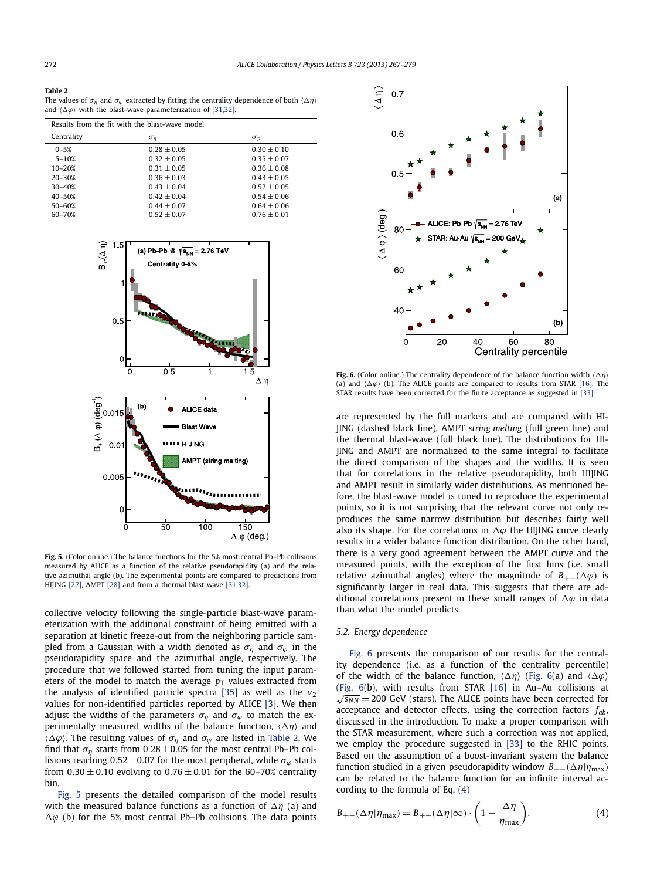#### <span id="page-5-0"></span>**Table 2**

The values of  $\sigma_{\eta}$  and  $\sigma_{\varphi}$  extracted by fitting the centrality dependence of both  $\langle \Delta \eta \rangle$ and  $\langle \Delta \varphi \rangle$  with the blast-wave parameterization of [\[31,32\].](#page-7-0)

| Results from the fit with the blast-wave model |                 |                  |
|------------------------------------------------|-----------------|------------------|
| Centrality                                     | $\sigma_{\eta}$ | $\sigma_\varphi$ |
| $0 - 5%$                                       | $0.28 + 0.05$   | $0.30 + 0.10$    |
| $5 - 10%$                                      | $0.32 + 0.05$   | $0.35 + 0.07$    |
| $10 - 20%$                                     | $0.31 + 0.05$   | $0.36 + 0.08$    |
| 20-30%                                         | $0.36 + 0.03$   | $0.43 + 0.05$    |
| $30 - 40%$                                     | $0.43 + 0.04$   | $0.52 + 0.05$    |
| 40-50%                                         | $0.42 + 0.04$   | $0.54 + 0.06$    |
| $50 - 60%$                                     | $0.44 + 0.07$   | $0.64 + 0.06$    |
| 60-70%                                         | $0.52 + 0.07$   | $0.76 + 0.01$    |



**Fig. 5.** (Color online.) The balance functions for the 5% most central Pb–Pb collisions measured by ALICE as a function of the relative pseudorapidity (a) and the relative azimuthal angle (b). The experimental points are compared to predictions from HIJING [\[27\],](#page-7-0) AMPT [\[28\]](#page-7-0) and from a thermal blast wave [\[31,32\].](#page-7-0)

collective velocity following the single-particle blast-wave parameterization with the additional constraint of being emitted with a separation at kinetic freeze-out from the neighboring particle sampled from a Gaussian with a width denoted as  $\sigma_{\eta}$  and  $\sigma_{\varphi}$  in the pseudorapidity space and the azimuthal angle, respectively. The procedure that we followed started from tuning the input parameters of the model to match the average  $p<sub>T</sub>$  values extracted from the analysis of identified particle spectra [\[35\]](#page-7-0) as well as the  $v_2$ values for non-identified particles reported by ALICE [\[3\].](#page-7-0) We then adjust the widths of the parameters  $\sigma_{\eta}$  and  $\sigma_{\varphi}$  to match the experimentally measured widths of the balance function,  $\langle \Delta \eta \rangle$  and  $\langle \Delta \varphi \rangle$ . The resulting values of  $\sigma_{\eta}$  and  $\sigma_{\varphi}$  are listed in Table 2. We find that  $\sigma_{\eta}$  starts from 0.28  $\pm$  0.05 for the most central Pb–Pb collisions reaching  $0.52 \pm 0.07$  for the most peripheral, while  $\sigma_{\varphi}$  starts from  $0.30 \pm 0.10$  evolving to  $0.76 \pm 0.01$  for the 60–70% centrality bin.

Fig. 5 presents the detailed comparison of the model results with the measured balance functions as a function of  $\Delta \eta$  (a) and *-ϕ* (b) for the 5% most central Pb–Pb collisions. The data points



**Fig. 6.** (Color online.) The centrality dependence of the balance function width  $(Δη)$ (a) and  $\langle \Delta \varphi \rangle$  (b). The ALICE points are compared to results from STAR [\[16\].](#page-7-0) The STAR results have been corrected for the finite acceptance as suggested in [\[33\].](#page-7-0)

are represented by the full markers and are compared with HI-JING (dashed black line), AMPT *string melting* (full green line) and the thermal blast-wave (full black line). The distributions for HI-JING and AMPT are normalized to the same integral to facilitate the direct comparison of the shapes and the widths. It is seen that for correlations in the relative pseudorapidity, both HIJING and AMPT result in similarly wider distributions. As mentioned before, the blast-wave model is tuned to reproduce the experimental points, so it is not surprising that the relevant curve not only reproduces the same narrow distribution but describes fairly well also its shape. For the correlations in  $\Delta\varphi$  the HIJING curve clearly results in a wider balance function distribution. On the other hand, there is a very good agreement between the AMPT curve and the measured points, with the exception of the first bins (i.e. small relative azimuthal angles) where the magnitude of  $B_{+-}(\Delta \varphi)$  is significantly larger in real data. This suggests that there are additional correlations present in these small ranges of  $\Delta\varphi$  in data than what the model predicts.

#### *5.2. Energy dependence*

Fig. 6 presents the comparison of our results for the centrality dependence (i.e. as a function of the centrality percentile) of the width of the balance function,  $\langle \Delta \eta \rangle$  (Fig. 6(a) and  $\langle \Delta \varphi \rangle$ (Fig. 6(b), with results from STAR [\[16\]](#page-7-0) in Au–Au collisions at  $\sqrt{s_{NN}}$  = 200 GeV (stars). The ALICE points have been corrected for acceptance and detector effects, using the correction factors *fab*, discussed in the introduction. To make a proper comparison with the STAR measurement, where such a correction was not applied, we employ the procedure suggested in [\[33\]](#page-7-0) to the RHIC points. Based on the assumption of a boost-invariant system the balance function studied in a given pseudorapidity window *<sup>B</sup>*+−*(-η*|*η*max*)* can be related to the balance function for an infinite interval according to the formula of Eq. (4)

$$
B_{+-}(\Delta \eta | \eta_{\text{max}}) = B_{+-}(\Delta \eta | \infty) \cdot \left(1 - \frac{\Delta \eta}{\eta_{\text{max}}}\right). \tag{4}
$$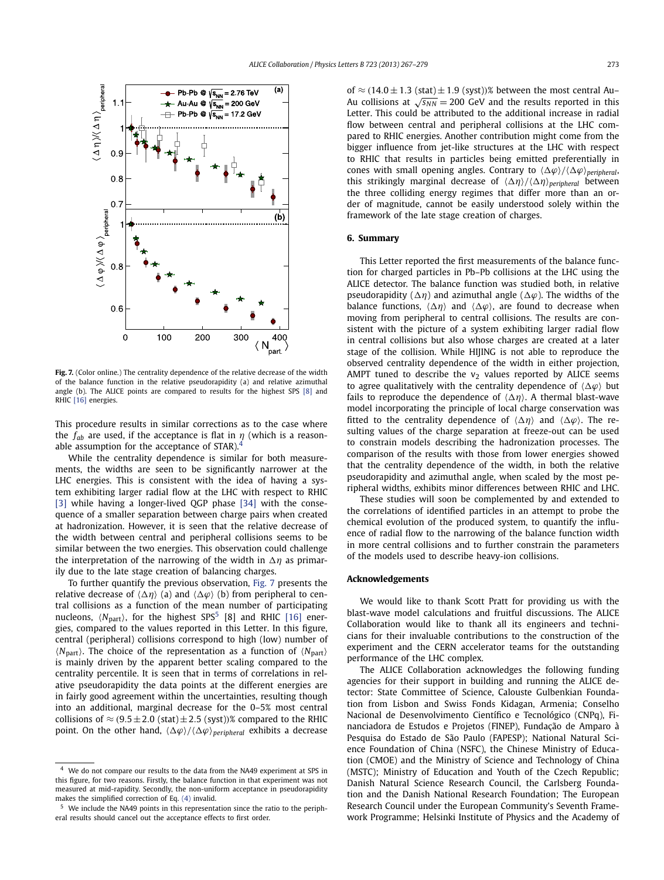

**Fig. 7.** (Color online.) The centrality dependence of the relative decrease of the width of the balance function in the relative pseudorapidity (a) and relative azimuthal angle (b). The ALICE points are compared to results for the highest SPS [\[8\]](#page-7-0) and RHIC [\[16\]](#page-7-0) energies.

This procedure results in similar corrections as to the case where the  $f_{ab}$  are used, if the acceptance is flat in  $\eta$  (which is a reasonable assumption for the acceptance of  $STAR$ ).<sup>4</sup>

While the centrality dependence is similar for both measurements, the widths are seen to be significantly narrower at the LHC energies. This is consistent with the idea of having a system exhibiting larger radial flow at the LHC with respect to RHIC [\[3\]](#page-7-0) while having a longer-lived QGP phase [\[34\]](#page-7-0) with the consequence of a smaller separation between charge pairs when created at hadronization. However, it is seen that the relative decrease of the width between central and peripheral collisions seems to be similar between the two energies. This observation could challenge the interpretation of the narrowing of the width in  $\Delta \eta$  as primarily due to the late stage creation of balancing charges.

To further quantify the previous observation, Fig. 7 presents the relative decrease of  $\langle \Delta \eta \rangle$  (a) and  $\langle \Delta \varphi \rangle$  (b) from peripheral to central collisions as a function of the mean number of participating nucleons,  $\langle N_{\text{part}} \rangle$ , for the highest SPS<sup>5</sup> [8] and RHIC [\[16\]](#page-7-0) energies, compared to the values reported in this Letter. In this figure, central (peripheral) collisions correspond to high (low) number of  $\langle N_{\text{part}} \rangle$ . The choice of the representation as a function of  $\langle N_{\text{part}} \rangle$ is mainly driven by the apparent better scaling compared to the centrality percentile. It is seen that in terms of correlations in relative pseudorapidity the data points at the different energies are in fairly good agreement within the uncertainties, resulting though into an additional, marginal decrease for the 0–5% most central collisions of  $\approx$  (9.5  $\pm$  2.0 (stat) $\pm$  2.5 (syst))% compared to the RHIC point. On the other hand,  $\langle \Delta \varphi \rangle / \langle \Delta \varphi \rangle_{\text{peripheral}}$  exhibits a decrease

of  $\approx$  (14.0  $\pm$  1.3 (stat)  $\pm$  1.9 (syst))% between the most central Au– Au collisions at  $\sqrt{s_{NN}}$  = 200 GeV and the results reported in this Letter. This could be attributed to the additional increase in radial flow between central and peripheral collisions at the LHC compared to RHIC energies. Another contribution might come from the bigger influence from jet-like structures at the LHC with respect to RHIC that results in particles being emitted preferentially in cones with small opening angles. Contrary to  $\langle \Delta \varphi \rangle / \langle \Delta \varphi \rangle$  peripheral, this strikingly marginal decrease of  $\langle \Delta \eta \rangle / \langle \Delta \eta \rangle$  *peripheral* between the three colliding energy regimes that differ more than an order of magnitude, cannot be easily understood solely within the framework of the late stage creation of charges.

#### **6. Summary**

This Letter reported the first measurements of the balance function for charged particles in Pb–Pb collisions at the LHC using the ALICE detector. The balance function was studied both, in relative pseudorapidity ( $\Delta \eta$ ) and azimuthal angle ( $\Delta \varphi$ ). The widths of the balance functions,  $\langle \Delta \eta \rangle$  and  $\langle \Delta \varphi \rangle$ , are found to decrease when moving from peripheral to central collisions. The results are consistent with the picture of a system exhibiting larger radial flow in central collisions but also whose charges are created at a later stage of the collision. While HIJING is not able to reproduce the observed centrality dependence of the width in either projection, AMPT tuned to describe the  $v_2$  values reported by ALICE seems to agree qualitatively with the centrality dependence of  $\langle \Delta \varphi \rangle$  but fails to reproduce the dependence of  $\langle \Delta \eta \rangle$ . A thermal blast-wave model incorporating the principle of local charge conservation was fitted to the centrality dependence of  $\langle \Delta \eta \rangle$  and  $\langle \Delta \varphi \rangle$ . The resulting values of the charge separation at freeze-out can be used to constrain models describing the hadronization processes. The comparison of the results with those from lower energies showed that the centrality dependence of the width, in both the relative pseudorapidity and azimuthal angle, when scaled by the most peripheral widths, exhibits minor differences between RHIC and LHC.

These studies will soon be complemented by and extended to the correlations of identified particles in an attempt to probe the chemical evolution of the produced system, to quantify the influence of radial flow to the narrowing of the balance function width in more central collisions and to further constrain the parameters of the models used to describe heavy-ion collisions.

#### **Acknowledgements**

We would like to thank Scott Pratt for providing us with the blast-wave model calculations and fruitful discussions. The ALICE Collaboration would like to thank all its engineers and technicians for their invaluable contributions to the construction of the experiment and the CERN accelerator teams for the outstanding performance of the LHC complex.

The ALICE Collaboration acknowledges the following funding agencies for their support in building and running the ALICE detector: State Committee of Science, Calouste Gulbenkian Foundation from Lisbon and Swiss Fonds Kidagan, Armenia; Conselho Nacional de Desenvolvimento Científico e Tecnológico (CNPq), Financiadora de Estudos e Projetos (FINEP), Fundação de Amparo à Pesquisa do Estado de São Paulo (FAPESP); National Natural Science Foundation of China (NSFC), the Chinese Ministry of Education (CMOE) and the Ministry of Science and Technology of China (MSTC); Ministry of Education and Youth of the Czech Republic; Danish Natural Science Research Council, the Carlsberg Foundation and the Danish National Research Foundation; The European Research Council under the European Community's Seventh Framework Programme; Helsinki Institute of Physics and the Academy of

<sup>4</sup> We do not compare our results to the data from the NA49 experiment at SPS in this figure, for two reasons. Firstly, the balance function in that experiment was not measured at mid-rapidity. Secondly, the non-uniform acceptance in pseudorapidity makes the simplified correction of Eq. [\(4\)](#page-5-0) invalid.

We include the NA49 points in this representation since the ratio to the peripheral results should cancel out the acceptance effects to first order.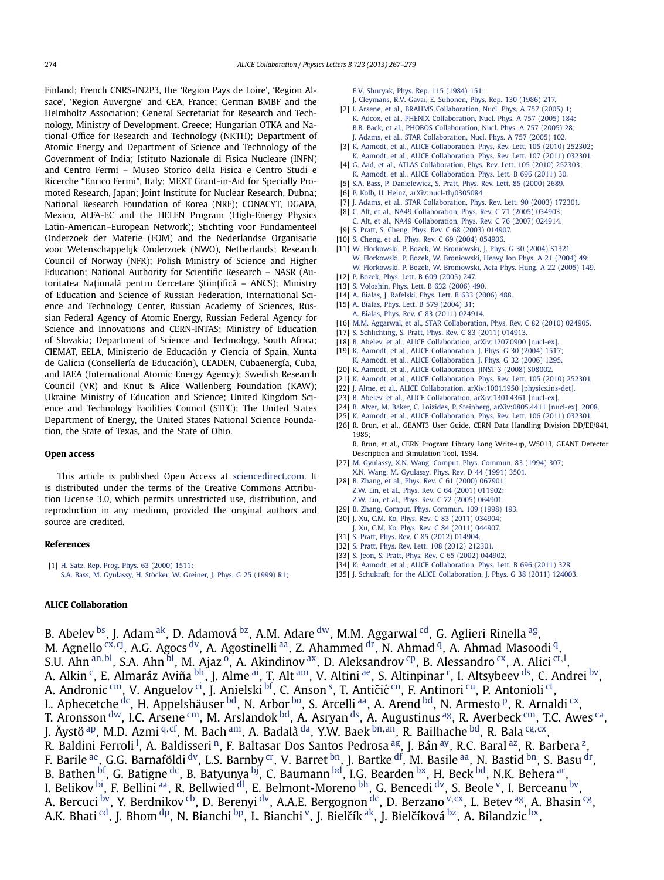<span id="page-7-0"></span>Finland; French CNRS-IN2P3, the 'Region Pays de Loire', 'Region Alsace', 'Region Auvergne' and CEA, France; German BMBF and the Helmholtz Association; General Secretariat for Research and Technology, Ministry of Development, Greece; Hungarian OTKA and National Office for Research and Technology (NKTH); Department of Atomic Energy and Department of Science and Technology of the Government of India; Istituto Nazionale di Fisica Nucleare (INFN) and Centro Fermi – Museo Storico della Fisica e Centro Studi e Ricerche "Enrico Fermi", Italy; MEXT Grant-in-Aid for Specially Promoted Research, Japan; Joint Institute for Nuclear Research, Dubna; National Research Foundation of Korea (NRF); CONACYT, DGAPA, Mexico, ALFA-EC and the HELEN Program (High-Energy Physics Latin-American–European Network); Stichting voor Fundamenteel Onderzoek der Materie (FOM) and the Nederlandse Organisatie voor Wetenschappelijk Onderzoek (NWO), Netherlands; Research Council of Norway (NFR); Polish Ministry of Science and Higher Education; National Authority for Scientific Research – NASR (Autoritatea Națională pentru Cercetare Științifică – ANCS); Ministry of Education and Science of Russian Federation, International Science and Technology Center, Russian Academy of Sciences, Russian Federal Agency of Atomic Energy, Russian Federal Agency for Science and Innovations and CERN-INTAS; Ministry of Education of Slovakia; Department of Science and Technology, South Africa; CIEMAT, EELA, Ministerio de Educación y Ciencia of Spain, Xunta de Galicia (Consellería de Educación), CEADEN, Cubaenergía, Cuba, and IAEA (International Atomic Energy Agency); Swedish Research Council (VR) and Knut & Alice Wallenberg Foundation (KAW); Ukraine Ministry of Education and Science; United Kingdom Science and Technology Facilities Council (STFC); The United States Department of Energy, the United States National Science Foundation, the State of Texas, and the State of Ohio.

#### **Open access**

This article is published Open Access at [sciencedirect.com](http://www.sciencedirect.com). It is distributed under the terms of the Creative Commons Attribution License 3.0, which permits unrestricted use, distribution, and reproduction in any medium, provided the original authors and source are credited.

#### **References**

[1] [H. Satz, Rep. Prog. Phys. 63 \(2000\) 1511;](http://refhub.elsevier.com/S0370-2693(13)00408-5/bib5265663A514344s1) [S.A. Bass, M. Gyulassy, H. Stöcker, W. Greiner, J. Phys. G 25 \(1999\) R1;](http://refhub.elsevier.com/S0370-2693(13)00408-5/bib5265663A514344s2)

### **ALICE Collaboration**

[E.V. Shuryak, Phys. Rep. 115 \(1984\) 151;](http://refhub.elsevier.com/S0370-2693(13)00408-5/bib5265663A514344s3)

[J. Cleymans, R.V. Gavai, E. Suhonen, Phys. Rep. 130 \(1986\) 217.](http://refhub.elsevier.com/S0370-2693(13)00408-5/bib5265663A514344s4)

- [2] I. [Arsene, et al., BRAHMS Collaboration, Nucl. Phys. A 757 \(2005\) 1;](http://refhub.elsevier.com/S0370-2693(13)00408-5/bib5265663A52484943514750s1) K. [Adcox, et al., PHENIX Collaboration, Nucl. Phys. A 757 \(2005\) 184;](http://refhub.elsevier.com/S0370-2693(13)00408-5/bib5265663A52484943514750s2) [B.B. Back, et al., PHOBOS Collaboration, Nucl. Phys. A 757 \(2005\) 28;](http://refhub.elsevier.com/S0370-2693(13)00408-5/bib5265663A52484943514750s3) [J. Adams, et al., STAR Collaboration, Nucl. Phys. A 757 \(2005\) 102.](http://refhub.elsevier.com/S0370-2693(13)00408-5/bib5265663A52484943514750s4)
- [3] K. [Aamodt, et al., ALICE Collaboration, Phys. Rev. Lett. 105 \(2010\) 252302;](http://refhub.elsevier.com/S0370-2693(13)00408-5/bib5265663A416C696365466C6F77s1) K. [Aamodt, et al., ALICE Collaboration, Phys. Rev. Lett. 107 \(2011\) 032301.](http://refhub.elsevier.com/S0370-2693(13)00408-5/bib5265663A416C696365466C6F77s2)
- [4] G. [Aad, et al., ATLAS Collaboration, Phys. Rev. Lett. 105 \(2010\) 252303;](http://refhub.elsevier.com/S0370-2693(13)00408-5/bib5265663A4C4843486967685074s1) K. [Aamodt, et al., ALICE Collaboration, Phys. Lett. B 696 \(2011\) 30.](http://refhub.elsevier.com/S0370-2693(13)00408-5/bib5265663A4C4843486967685074s2)
- [5] [S.A. Bass, P. Danielewicz, S. Pratt, Phys. Rev. Lett. 85 \(2000\) 2689.](http://refhub.elsevier.com/S0370-2693(13)00408-5/bib5265663A42616C616E636546756E6374696F6E5468656F7279s1)
- [6] [P. Kolb, U. Heinz, arXiv:nucl-th/0305084.](http://refhub.elsevier.com/S0370-2693(13)00408-5/bib5265663A4865696E7A487964726Fs1)
- [7] J. [Adams, et al., STAR Collaboration, Phys. Rev. Lett. 90 \(2003\) 172301.](http://refhub.elsevier.com/S0370-2693(13)00408-5/bib5265663A42616C616E636546756E6374696F6E5354415231s1)
- [8] C. [Alt, et al., NA49 Collaboration, Phys. Rev. C 71 \(2005\) 034903;](http://refhub.elsevier.com/S0370-2693(13)00408-5/bib5265663A42616C616E636546756E6374696F6E4E413439s1) C. [Alt, et al., NA49 Collaboration, Phys. Rev. C 76 \(2007\) 024914.](http://refhub.elsevier.com/S0370-2693(13)00408-5/bib5265663A42616C616E636546756E6374696F6E4E413439s2)
- [9] S. [Pratt, S. Cheng, Phys. Rev. C 68 \(2003\) 014907.](http://refhub.elsevier.com/S0370-2693(13)00408-5/bib5265663A507261747450687973526576433638s1)
- [10] S. [Cheng, et al., Phys. Rev. C 69 \(2004\) 054906.](http://refhub.elsevier.com/S0370-2693(13)00408-5/bib5265663A507261747450687973526576433639s1)
- [11] [W. Florkowski, P. Bozek, W. Broniowski, J. Phys. G 30 \(2004\) S1321;](http://refhub.elsevier.com/S0370-2693(13)00408-5/bib5265663A466C6F726B6F77736B69s1) [W. Florkowski, P. Bozek, W. Broniowski, Heavy Ion Phys. A 21 \(2004\) 49;](http://refhub.elsevier.com/S0370-2693(13)00408-5/bib5265663A466C6F726B6F77736B69s2) [W. Florkowski, P. Bozek, W. Broniowski, Acta Phys. Hung. A 22 \(2005\) 149.](http://refhub.elsevier.com/S0370-2693(13)00408-5/bib5265663A466C6F726B6F77736B69s3) [12] [P. Bozek, Phys. Lett. B 609 \(2005\) 247.](http://refhub.elsevier.com/S0370-2693(13)00408-5/bib5265663A426F7A656Bs1)
- [13] S. [Voloshin, Phys. Lett. B 632 \(2006\) 490.](http://refhub.elsevier.com/S0370-2693(13)00408-5/bib5265663A566F6C6F7368696Es1)
- [14] [A. Bialas, J. Rafelski, Phys. Lett. B 633 \(2006\) 488.](http://refhub.elsevier.com/S0370-2693(13)00408-5/bib5265663A526166656C736B69s1)
- [15] [A. Bialas, Phys. Lett. B 579 \(2004\) 31;](http://refhub.elsevier.com/S0370-2693(13)00408-5/bib5265663A4269616C6173s1) [A. Bialas, Phys. Rev. C 83 \(2011\) 024914.](http://refhub.elsevier.com/S0370-2693(13)00408-5/bib5265663A4269616C6173s2)
- [16] M.M. [Aggarwal, et al., STAR Collaboration, Phys. Rev. C 82 \(2010\) 024905.](http://refhub.elsevier.com/S0370-2693(13)00408-5/bib5265663A42616C616E636546756E6374696F6E5354415232s1)
- [17] S. [Schlichting, S. Pratt, Phys. Rev. C 83 \(2011\) 014913.](http://refhub.elsevier.com/S0370-2693(13)00408-5/bib5265663A5072617474417A696D757468616C416E676C65s1)
- [18] B. [Abelev, et al., ALICE Collaboration, arXiv:1207.0900 \[nucl-ex\].](http://refhub.elsevier.com/S0370-2693(13)00408-5/bib5265663A416C696365506172697479s1)
- [19] K. [Aamodt, et al., ALICE Collaboration, J. Phys. G 30 \(2004\) 1517;](http://refhub.elsevier.com/S0370-2693(13)00408-5/bib5265663A416C696365505052s1) K. [Aamodt, et al., ALICE Collaboration, J. Phys. G 32 \(2006\) 1295.](http://refhub.elsevier.com/S0370-2693(13)00408-5/bib5265663A416C696365505052s2)
- [20] K. [Aamodt, et al., ALICE Collaboration, JINST 3 \(2008\) S08002.](http://refhub.elsevier.com/S0370-2693(13)00408-5/bib5265663A416C6963654A696E7374s1)
- [21] K. [Aamodt, et al., ALICE Collaboration, Phys. Rev. Lett. 105 \(2010\) 252301.](http://refhub.elsevier.com/S0370-2693(13)00408-5/bib5265663A416C696365644E64657461s1)
- [22] J. [Alme, et al., ALICE Collaboration, arXiv:1001.1950 \[physics.ins-det\].](http://refhub.elsevier.com/S0370-2693(13)00408-5/bib5265663A414C494345545043s1)
- [23] B. Abeley, et al., ALICE Collaboration, arXiv:1301.4361 [nucl-ex].
- [24] B. [Alver, M. Baker, C. Loizides, P. Steinberg, arXiv:0805.4411 \[nucl-ex\], 2008.](http://refhub.elsevier.com/S0370-2693(13)00408-5/bib5265663A476C6175626572s1)
- [25] K. [Aamodt, et al., ALICE Collaboration, Phys. Rev. Lett. 106 \(2011\) 032301.](http://refhub.elsevier.com/S0370-2693(13)00408-5/bib5265663A4E50617274s1)
- [26] R. Brun, et al., GEANT3 User Guide, CERN Data Handling Division DD/EE/841, 1985;

R. Brun, et al., CERN Program Library Long Write-up, W5013, GEANT Detector Description and Simulation Tool, 1994.

- [27] M. [Gyulassy, X.N. Wang, Comput. Phys. Commun. 83 \(1994\) 307;](http://refhub.elsevier.com/S0370-2693(13)00408-5/bib5265663A48696A696E67s1) X.N. [Wang, M. Gyulassy, Phys. Rev. D 44 \(1991\) 3501.](http://refhub.elsevier.com/S0370-2693(13)00408-5/bib5265663A48696A696E67s2)
- [28] B. [Zhang, et al., Phys. Rev. C 61 \(2000\) 067901;](http://refhub.elsevier.com/S0370-2693(13)00408-5/bib5265663A416D7074s1) [Z.W. Lin, et al., Phys. Rev. C 64 \(2001\) 011902;](http://refhub.elsevier.com/S0370-2693(13)00408-5/bib5265663A416D7074s2) [Z.W. Lin, et al., Phys. Rev. C 72 \(2005\) 064901.](http://refhub.elsevier.com/S0370-2693(13)00408-5/bib5265663A416D7074s3)
- [29] B. [Zhang, Comput. Phys. Commun. 109 \(1998\) 193.](http://refhub.elsevier.com/S0370-2693(13)00408-5/bib5265663A5A5043s1)
- [30] J. [Xu, C.M. Ko, Phys. Rev. C 83 \(2011\) 034904;](http://refhub.elsevier.com/S0370-2693(13)00408-5/bib5265663A416D707454756E65s1)
- J. [Xu, C.M. Ko, Phys. Rev. C 84 \(2011\) 044907.](http://refhub.elsevier.com/S0370-2693(13)00408-5/bib5265663A416D707454756E65s2)
- [31] S. [Pratt, Phys. Rev. C 85 \(2012\) 014904.](http://refhub.elsevier.com/S0370-2693(13)00408-5/bib5265663A426C61737457617665s1)
- [32] S. [Pratt, Phys. Rev. Lett. 108 \(2012\) 212301.](http://refhub.elsevier.com/S0370-2693(13)00408-5/bib5265663A426C6173745761766532s1)
- [33] S. [Jeon, S. Pratt, Phys. Rev. C 65 \(2002\) 044902.](http://refhub.elsevier.com/S0370-2693(13)00408-5/bib5265663A507261747450687973526576433635s1)
- [34] K. [Aamodt, et al., ALICE Collaboration, Phys. Lett. B 696 \(2011\) 328.](http://refhub.elsevier.com/S0370-2693(13)00408-5/bib5265663A416C696365484254s1)
- [35] J. [Schukraft, for the ALICE Collaboration, J. Phys. G 38 \(2011\) 124003.](http://refhub.elsevier.com/S0370-2693(13)00408-5/bib5265663A416C6963654964656E74696669656453706563747261s1)

B. Abelev <sup>bs</sup>, J. Adam <sup>ak</sup>, D. Adamová <sup>bz</sup>, A.M. Adare <sup>dw</sup>, M.M. Aggarwal <sup>cd</sup>, G. Aglieri Rinella <sup>ag</sup>, M. Agnello <sup>[cx](#page-11-0), cj</sup>, A.G. Agocs <sup>dv</sup>, A. Agostinelli <sup>aa</sup>, Z. Ahammed <sup>dr</sup>, N. Ahmad <sup>q</sup>, A. Ahmad Masoodi <sup>q</sup>, S.U. Ahn <sup>[an](#page-11-0),bl</sup>, S.A. Ahn <sup>bl</sup>, M. Ajaz <sup>[o](#page-10-0)</sup>, A. Akindinov <sup>ax</sup>, D. Aleksandrov <sup>cp</sup>, B. Alessandro <sup>cx</sup>, A. Alici <sup>[ct](#page-11-0), [l](#page-10-0)</sup>, A. Alkin <sup>c</sup>, E. Almaráz Aviña <sup>bh</sup>, J. Alme <sup>ai</sup>, T. Alt <sup>am</sup>, V. Altini <sup>[ae](#page-10-0)</sup>, S. Altinpina[r](#page-10-0) <sup>r</sup>, I. Altsybeev <sup>ds</sup>, C. Andrei <sup>[bv](#page-11-0)</sup>, A. Andronic <[s](#page-10-0)up>cm</sup>, V. Anguelov <sup>ci</sup>, J. Anielski <sup>bf</sup>, C. Anson <sup>s</sup>, T. Antičić <sup>cn</sup>, F. Antinori <sup>cu</sup>, P. Antonioli <sup>ct</sup>, L. Aphecetche <sup>dc</sup>, H. Appelshäuser <sup>bd</sup>, N. Ar[bo](#page-11-0)r <su[p](#page-10-0)>bo</sup>, S. Arcelli <sup>aa</sup>, A. Arend <sup>bd</sup>, N. Armesto <sup>p</sup>, R. Arnaldi <sup>cx</sup>, T. Aronsson <sup>dw</sup>, I.C. Arsene <sup>cm</sup>, M. Arslandok <sup>bd</sup>, A. Asryan <sup>ds</sup>, A. Augustinus <sup>ag</sup>, R. Averbeck <sup>cm</sup>, T.C. Awes <sup>ca</sup>, J. Äystö [ap,](#page-11-0) M.D. Azmi [q](#page-10-0)*,*[cf,](#page-11-0) M. Bach [am,](#page-11-0) A. Badalà [da](#page-11-0), Y.W. Baek [bn](#page-11-0)*,*[an,](#page-11-0) R. Bailhache [bd,](#page-11-0) R. Bala [cg](#page-11-0)*,*[cx](#page-11-0), R. Ba[l](#page-10-0)di[n](#page-10-0)i Ferroli<sup> l</sup>, A. Baldisseri <sup>n</sup>, F. Baltasar Dos Santos Pedrosa <sup>[ag](#page-10-0)</sup>, J. Bán <sup>[ay](#page-11-0)</sup>, R.C. Baral <sup>az</sup>, R. Barbera <sup>z</sup>, F. Barile <sup>ae</sup>, G.G. Barnaföldi <sup>dv</sup>, L.S. Barnby <sup>cr</sup>, V. Barret <sup>bn</sup>, J. Bartke <sup>df</sup>, M. Basile <sup>aa</sup>, N. Bastid <sup>bn</sup>, S. Basu <sup>dr</sup>, B. Bathen <sup>bf</sup>, G. Batigne <sup>dc</sup>, B. Batyunya <sup>bj</sup>, C. Baumann <sup>bd</sup>, I.G. Bearden <sup>bx</sup>, H. Beck <sup>bd</sup>, N.K. Behera <sup>ar</sup>, I. Belikov <sup>bi</sup>, F. Bellini <sup>aa</sup>, R. Bellwied <sup>dl</sup>, E. Belmont-Moreno <sup>bh</sup>, G. Bencedi <sup>dv</sup>, S. Beole <sup>v</sup>, I. Berceanu <sup>bv</sup>, A. Bercuci <sup>[bv](#page-11-0)</sup>, Y. Berdniko[v](#page-10-0) <sup>cb</sup>, D. Berenyi <sup>dv</sup>, A.A.E. Bergognon <sup>dc</sup>, D. Berzano <sup>v,cx</sup>, L. Betev <sup>ag</sup>, A. Bhasin <sup>cg</sup>, A.K. Bhati <sup>[cd](#page-11-0)</sup>, J. Bhom <sup>dp</sup>, N. Bianchi <sup>bp</sup>, L. Bianchi <sup>v</sup>, J. Bielčík <sup>ak</sup>, J. Bielčíková <sup>[bz](#page-11-0)</sup>, A. Bilandzic <sup>bx</sup>,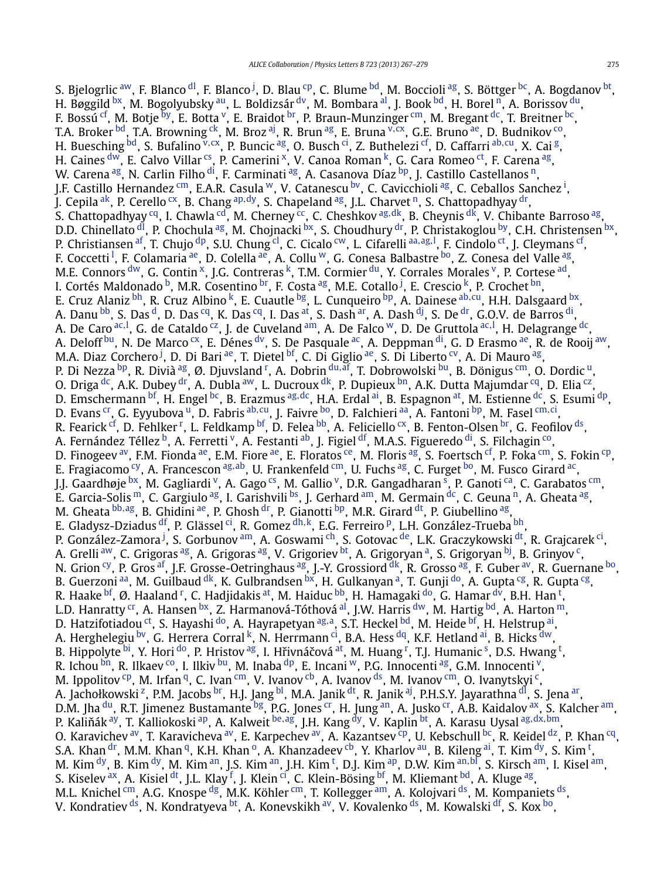S. Bjelogrlic <sup>[aw](#page-11-0)</sup>, F. Blanco <sup>dl</sup>, F. Blanco <sup>[j](#page-10-0)</sup>, D. Blau <sup>cp</sup>, C. Blume <sup>[bd](#page-11-0)</sup>, M. Boccioli <sup>ag</sup>, S. Böttger <sup>bc</sup>, A. Bogdanov <sup>[bt](#page-11-0)</sup>, H. Bøggild <sup>bx</sup>, M. Bogolyubsky <sup>[au](#page-11-0)</sup>, L. Boldizsár <sup>dv</sup>, M. Bombara <sup>al</sup>, J. Book <sup>bd</sup>, H. Borel <sup>n</sup>, A. Borissov <sup>[du](#page-12-0)</sup>, F. Bossú <sup>cf</sup>, M. Botje <sup>by</sup>, E. Botta <sup>v</sup>, E. Braidot <sup>br</sup>, P. Braun-Munzinger <sup>cm</sup>, M. Bregant <sup>[dc](#page-11-0)</sup>, T. Breitner <sup>bc</sup>, T.A. Broker <sup>bd</sup>, T.A. Browning <sup>[ck](#page-11-0)</sup>, M. Broz <sup>[aj](#page-10-0)</sup>, R. Brun <sup>ag</sup>, E. Bruna <sup>[v](#page-10-0),cx</sup>, G.E. Bruno <sup>ae</sup>, D. Budnikov <sup>[co](#page-11-0)</sup>, H. Buesching <sup>bd</sup>, S. Bufalino [v](#page-10-0)<sub>, Cx</sub>, P. Buncic <sup>ag</sup>, O. Busch <sup>ci</sup>, Z. Buthelezi <sup>cf</sup>, D. Caffarri <sup>[ab](#page-10-0), cu</sup>, X. Cai <sup>g</sup>, H. Caines [dw,](#page-12-0) E. Calvo Villar Cs, P. Camerini<sup>x</sup>, V. Canoa Roman<sup>k</sup>, G. Cara Romeo <sup>ct</sup>, F. Carena <sup>ag</sup>, H. Carena [ag,](#page-10-0) W. Carena <sup>ag</sup>, N. Carlin Filho [di,](#page-11-0) F. Carminati <sup>ag</sup>, A. Casanova Díaz <sup>bp</sup>, J. Castillo Castellanos<sup>n</sup>, J.F. Castillo Hernandez <sup>cm</sup>, E.A.R. Casula <sup>[w](#page-10-0)</sup>, V. Catanescu <sup>[bv](#page-11-0)</sup>, C. Cav[i](#page-10-0)cchioli <sup>ag</sup>, C. Ceballos Sanchez <sup>i</sup>, J. Cepila <sup>ak</sup>, P. Cerello<sup>cx</sup>, B. Chang <sup>[ap](#page-11-0),dy</sup>, S. Chapeland <sup>[ag](#page-10-0)</sup>, J.L. Charvet <sup>n</sup>, S. Chattopadhyay <sup>dr</sup>, S. Chattopadhyay <sup>cq</sup>, I. Chawla <sup>cd</sup>, M. Cherney <sup>cc</sup>, C. Cheshkov <sup>[ag](#page-10-0),dk</sup>, B. Cheynis <sup>dk</sup>, V. Chibante Barroso <sup>ag</sup>, D.D. Chinellato [dl,](#page-11-0) P. Chochula [ag,](#page-10-0) M. Chojnacki [bx](#page-11-0), S. Choudhury [dr](#page-12-0), P. Christakoglou [by,](#page-11-0) C.H. Christensen [bx,](#page-11-0) P. Christiansen <sup>af</sup>, T. Chujo <sup>dp</sup>, S.U. Chung <sup>cl</sup>, C. Cicalo <sup>cw</sup>, L. Cifarelli <sup>[aa](#page-10-0),[ag](#page-10-0), [l](#page-10-0)</sup>, F. Cindolo <sup>[ct](#page-11-0)</sup>, J. Cleymans <sup>[cf](#page-11-0)</sup>, F. Coccetti <sup>[l](#page-10-0)</sup>, F. Colamaria <sup>ae</sup>, D. Colella <sup>ae</sup>, A. Collu <sup>w</sup>, G. Conesa Balbastre <sup>bo</sup>, Z. Conesa del Valle <sup>ag</sup>, M.E. Connors [dw,](#page-12-0) G. Contin <sup>x</sup>, J.G. Contreras <sup>k</sup>, T.M. Cormier [du](#page-12-0), Y. Corrales Morales <sup>v</sup>, P. Cortese <sup>[ad](#page-10-0)</sup>, I. Cortés Maldonado <sup>b</sup>, M.R. Cosentino <sup>br</sup>, F. Costa <sup>ag</sup>, M.E. Cotallo <sup>[j](#page-10-0)</sup>, E. Crescio <sup>k</sup>, P. Crochet <sup>bn</sup>, E. Cruz Alaniz <sup>bh</sup>, R. Cruz Albino <sup>k</sup>, E. Cuautle <sup>bg</sup>, L. Cunqueiro <sup>bp</sup>, A. Dainese <sup>[ab](#page-10-0),cu</sup>, H.H. Dalsgaard <sup>[bx](#page-11-0)</sup>, A. Danu [bb,](#page-11-0) S. Das [d,](#page-10-0) D. Das [cq,](#page-11-0) K. Das cq, I. Das [at,](#page-11-0) S. Dash [ar,](#page-11-0) A. Dash [dj](#page-11-0), S. De [dr,](#page-12-0) G.O.V. de Barros [di,](#page-11-0) A. De Caro <sup>[ac](#page-10-0), [l](#page-10-0)</sup>, G. de Cataldo <sup>cz</sup>, J. de Cuveland <sup>am</sup>, A. De Falco <sup>[w](#page-10-0)</sup>, D. De Gruttola <sup>ac, l</sup>, H. Delagrange <sup>dc</sup>, A. Deloff [bu,](#page-11-0) N. De Marco Cx, E. Dénes [dv](#page-12-0), S. De Pasquale [ac,](#page-10-0) A. Deppman [di,](#page-11-0) G. D Erasmo [ae,](#page-10-0) R. de Rooij [aw,](#page-11-0) M.A. Diaz Corchero <sup>[j](#page-10-0)</sup>, D. Di Bari <sup>ae</sup>, T. Dietel <sup>bf</sup>, C. Di Giglio <sup>ae</sup>, S. Di Liberto <sup>cv</sup>, A. Di Mauro <sup>ag</sup>, P. Di Nezza <sup>bp</sup>, R. Divià <sup>ag</sup>, Ø. Djuvsland <sup>[r](#page-10-0)</sup>, A. Dobrin <sup>[du](#page-12-0), af</sup>, T. Dobrowolski <sup>bu</sup>, B. Dönigus <sup>cm</sup>, O. Dordic <sup>u</sup>, O. Driga <sup>dc</sup>, A.K. Dubey <sup>dr</sup>, A. Dubla <sup>aw</sup>, L. Ducroux <sup>dk</sup>, P. Dupieux <sup>[bn](#page-11-0)</sup>, A.K. Dutta Majumdar <sup>cq</sup>, D. Elia <sup>cz</sup>, D. Emschermann [bf,](#page-11-0) H. Engel [bc](#page-11-0), B. Erazmus [ag](#page-10-0), [dc,](#page-11-0) H.A. Erdal [ai,](#page-10-0) B. Espagnon [at,](#page-11-0) M. Estienne dc, S. Esumi [dp,](#page-12-0) D. Evans <sup>[cr](#page-11-0)</sup>, G. Eyyubova <sup>u</sup>, D. F[ab](#page-10-0)ris <sup>ab,[cu](#page-11-0)</sup>, J. Faivre <sup>bo</sup>, D. Falchieri <sup>aa</sup>, A. Fantoni <sup>bp</sup>, M. Fasel <sup>[cm](#page-11-0),ci</sup>, R. Fea[r](#page-10-0)ick <sup>cf</sup>, D. Fehlker <sup>r</sup>, L. Feldkamp <sup>bf</sup>, D. Felea <sup>bb</sup>, A. Feliciello <sup>cx</sup>, B. Fenton-Olsen <sup>br</sup>, G. Feofilov <sup>ds</sup>, A. Fernández Téllez  $\frac{b}{b}$ , A. Ferretti <sup>v</sup>, A. Festanti  $\frac{ab}{c}$ , J. Figiel  $\frac{df}{d}$ , M.A.S. Figueredo  $\frac{di}{d}$ , S. Filchagin  $\frac{c}{c}$ , D. Finogeev <sup>av</sup>, F.M. Fionda <sup>ae</sup>, E.M. Fiore <sup>ae</sup>, E. Floratos <sup>ce</sup>, M. Floris <sup>ag</sup>, S. Foertsch <sup>cf</sup>, P. Foka <sup>cm</sup>, S. Fokin <sup>cp</sup>, E. Fragiacomo [cy,](#page-11-0) A. Francescon [ag](#page-10-0)*,*[ab,](#page-10-0) U. Frankenfeld [cm,](#page-11-0) U. Fuchs [ag,](#page-10-0) C. Furget [bo,](#page-11-0) M. Fusco Girard [ac,](#page-10-0) J.J. Gaardhøje <[s](#page-10-0)up>bx</sup>, M. Gagliardi <sup>v</sup>, A. Gago <sup>cs</sup>, M. Gallio <sup>v</sup>, D.R. Gangadharan <sup>s</sup>, P. Ganoti <sup>ca</sup>, C. Garabatos <sup>cm</sup>, E. Garcia-Solis [m,](#page-10-0) C. Gargiulo [ag,](#page-10-0) I. Garishvili [bs,](#page-11-0) J. Gerhard [am,](#page-11-0) M. Germain [dc,](#page-11-0) C. Geuna [n,](#page-10-0) A. Gheata ag, M. Gheata <sup>[bb](#page-11-0),ag</sup>, B. Ghidini <sup>[ae](#page-10-0)</sup>, P. Ghosh <sup>[dr](#page-12-0)</sup>, P. Gianotti <sup>bp</sup>, M.R. Girard <sup>dt</sup>, P. Giubellino <sup>ag</sup>, E. Gladysz-Dziadus <sup>df</sup>, P. Glässel <sup>ci</sup>, R. Gomez <sup>[dh](#page-11-0),[k](#page-10-0)</sup>, E.G. Ferreiro <sup>p</sup>, L.H. González-Trueba <sup>bh</sup>, P. González-Zamora <sup>[j](#page-10-0)</sup>, S. Gorbunov <sup>am</sup>, A. Goswami <sup>ch</sup>, S. Gotovac <sup>de</sup>, L.K. Graczykowski <sup>dt</sup>, R. Grajcarek <sup>ci</sup>, A. Grelli <sup>[a](#page-10-0)w</sup>, C. Grigoras <sup>ag</sup>, A. Grigoras <sup>ag</sup>, V. Grigoriev <sup>bt</sup>, A. Grigoryan <sup>a</sup>, S. Grigoryan <sup>[bj](#page-11-0)</sup>, B. Grinyov <sup>c</sup>, N. Grion <sup>cy</sup>, P. Gros <sup>af</sup>, J.F. Grosse-Oetringhaus <sup>ag</sup>, J.-Y. Grossiord <sup>dk</sup>, R. Grosso <sup>ag</sup>, F. Guber <sup>av</sup>, R. Guernane <sup>bo</sup>, B. Guerzoni<sup>aa</sup>, M. Guilbaud [dk,](#page-11-0) K. Gulbrandsen [bx](#page-11-0), H. Gulkanyan <sup>a</sup>, T. Gunji <sup>do</sup>, A. Gupta <sup>cg</sup>, R. Gupta <sup>cg</sup>, R. Haake <sup>bf</sup>, Ø. Haaland <sup>[r](#page-10-0)</sup>, C. Hadjidakis <sup>a[t](#page-10-0)</sup>, M. Haiduc <sup>bb</sup>, H. Hamagaki <sup>do</sup>, G. Hamar <sup>dv</sup>, B.H. Han <sup>t</sup>, L.D. Hanratty Cr, A. Hansen [bx,](#page-11-0) Z. Harmanová-Tóthová [al,](#page-10-0) J.W. Harris [dw,](#page-12-0) M. Hartig [bd,](#page-11-0) A. Harton [m,](#page-10-0) D. Hatzifotiadou <sup>ct</sup>, S. Hayashi <sup>do</sup>, A. Hayrapetyan [ag](#page-10-0), [a,](#page-10-0) S.T. Heckel [bd,](#page-11-0) M. Heide [bf,](#page-11-0) H. Helstrup [ai,](#page-10-0) A. Herghelegiu [bv,](#page-11-0) G. Herrera Corral [k,](#page-10-0) N. Herrmann [ci,](#page-11-0) B.A. Hess  $\frac{dq}{dq}$ , K.F. Hetland  $\frac{di}{d}$ , B. Hicks  $\frac{dw}{d}$  $\frac{dw}{d}$  $\frac{dw}{d}$ , B. Hippolyte <sup>bi</sup>, Y. Hori <sup>do</sup>, P. Hristov <sup>[ag](#page-10-0)</sup>, I. Hřivnáčová <sup>at</sup>, M. Huang <sup>[r](#page-10-0)</[s](#page-10-0)up>, T.J. Humanic <sup>s</sup>, D.S. Hwang <sup>[t](#page-10-0)</sup>, R. Ichou <sup>bn</sup>, R. Ilkaev<sup>co</sup>, I. Ilkiv <sup>bu</sup>, M. Inaba <sup>dp</sup>, E. Incani <sup>[w](#page-10-0)</sup>, P.G. Innocenti <sup>ag</sup>, G.M. Innocenti <sup>v</sup>, M. Ippolitov CP, M. Irfan [q,](#page-10-0) C. Ivan Cm, V. Ivanov Cb, A. Ivanov Cs, M. Ivanov Cm, O. Ivanytskyi C, A. Jachołkowski<sup> z</sup>, P.M. Jacobs <sup>br</sup>, H.J. Jang <sup>bl</sup>, M.A. Janik <sup>dt</sup>, R. Janik <sup>[aj](#page-10-0)</sup>, P.H.S.Y. Jayarathna <sup>dl</sup>, S. Jena <sup>ar</sup>, D.M. Jha <sup>du</sup>, R.T. Jimenez Bustamante <sup>bg</sup>, P.G. Jones <sup>cr</sup>, H. Jung <sup>an</sup>, A. Jusko <sup>cr</sup>, A.B. Kaidalov <sup>ax</sup>, S. Kalcher <sup>am</sup>, P. Kaliňák <sup>[ay](#page-11-0)</sup>, T. Kalliokoski <sup>ap</sup>, A. Kalweit <sup>[be](#page-11-0), ag</sup>, J.H. Kang <sup>dy</sup>, V. Kaplin <sup>bt</sup>, A. Karasu Uysal <sup>[ag,](#page-10-0) [dx](#page-12-0), bm</sup>, O. Karavichev [av,](#page-11-0) T. Karavicheva av, E. Karpechev av, A. Kazantsev [cp,](#page-11-0) U. Kebschull [bc,](#page-11-0) R. Keidel [dz,](#page-12-0) P. Khan [cq,](#page-11-0) S.A. Khan <sup>dr</sup>, M.M. Khan <sup>q</sup>, K.H. Khan °, A. Khanzadeev <sup>cb</sup>, Y. Kharlov <sup>au</sup>, B. Kileng <sup>ai</sup>, T. Kim <sup>dy</sup>, S. Kim <sup>[t](#page-10-0)</sup>, M. Kim <sup>dy</sup>, B. Kim <sup>dy</sup>, M. Kim <sup>an</sup>, J.S. Kim <sup>an</sup>, J.H. Kim <sup>t</sup>, D.J. Kim <sup>ap</sup>, D.W. Kim <sup>[an,](#page-11-0)bl</sup>, S. Kirsch <sup>am</sup>, I. Kisel <sup>am</sup>, S. Kiselev <sup>ax</sup>, A. Kisiel <sup>dt</sup>, J.L. Klay <sup>[f](#page-10-0)</sup>, J. Klein <sup>ci</sup>, C. Klein-Bösing <sup>[bf](#page-11-0)</sup>, M. Kliemant <sup>bd</sup>, A. Kluge <sup>ag</sup>, M.L. Knichel [cm,](#page-11-0) A.G. Knospe [dg,](#page-11-0) M.K. Köhler cm, T. Kollegger [am,](#page-11-0) A. Kolojvari [ds](#page-12-0), M. Kompaniets ds, V. Kondratiev [ds,](#page-12-0) N. Kondratyeva [bt](#page-11-0), A. Konevskikh [av,](#page-11-0) V. Kovalenko ds, M. Kowalski [df,](#page-11-0) S. Kox [bo](#page-11-0),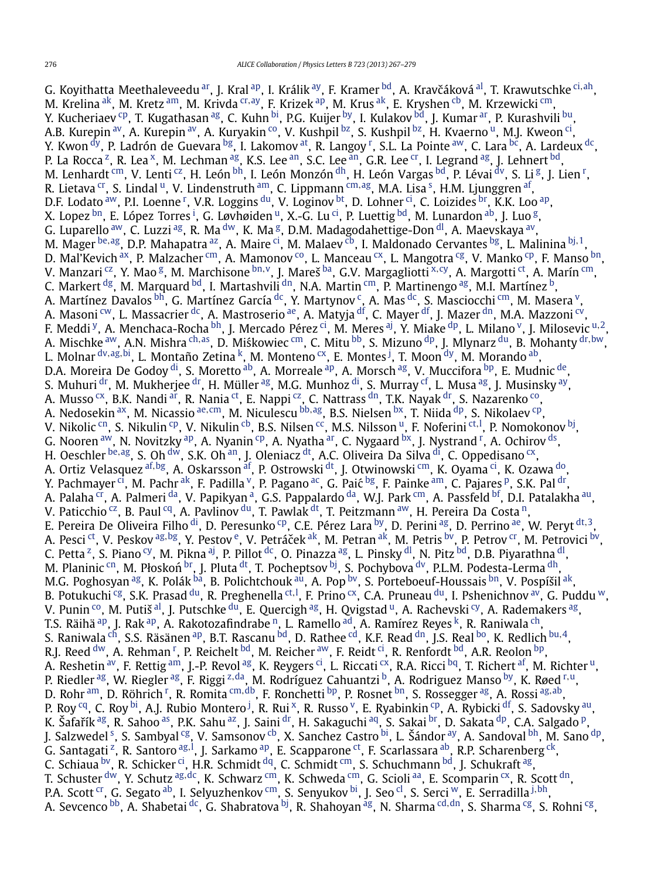G. Koyithatta Meethaleveedu <sup>ar</sup>, J. Kral <sup>ap</sup>, I. Králik <sup>[ay](#page-11-0)</sup>, F. Kramer <sup>bd</sup>, A. Kravčáková <sup>al</sup>, T. Krawutschke <sup>[ci](#page-11-0), ah</sup>, M. Krelina [ak,](#page-10-0) M. Kretz [am,](#page-11-0) M. Krivda [cr](#page-11-0)*,*[ay](#page-11-0), F. Krizek [ap,](#page-11-0) M. Krus [ak,](#page-10-0) E. Kryshen [cb,](#page-11-0) M. Krzewicki [cm,](#page-11-0) Y. Kucheriaev <sup>cp</sup>, T. Kugathasan <sup>[ag](#page-10-0)</sup>, C. Kuhn <sup>bi</sup>, P.G. Kuijer <sup>by</sup>, I. Kulakov <sup>bd</sup>, J. Kumar <sup>ar</sup>, P. Kurashvili <sup>bu</sup>, A.B. Kurepin <sup>av</sup>, A. Kurepin <sup>av</sup>, A. Kuryakin <sup>co</sup>, V. Kushpil <sup>[bz](#page-11-0)</sup>, S. Kushpil <sup>bz</sup>, H. Kvaerno <sup>u</sup>, M.J. Kweon <sup>ci</sup>, Y. Kwon <sup>dy</sup>, P. Ladrón de Guevara <sup>bg</sup>, I. Lakomov <sup>[at](#page-11-0)</sup>, R. Langoy <sup>[r](#page-10-0)</sup>, S.L. La Pointe <sup>aw</sup>, C. Lara <sup>bc</sup>, A. Lardeux <sup>dc</sup>, P. La Rocca<sup> z</sup>, R. Lea <sup>x</sup>, M. Lechman <sup>ag</sup>, K.S. Lee <sup>an</sup>, S.C. Lee <sup>an</sup>, G.R. Lee <sup>cr</sup>, I. Legrand <sup>ag</sup>, J. Lehnert <sup>bd</sup>, M. Lenhardt <sup>cm</sup>, V. Lenti <sup>cz</sup>, H. León <sup>bh</sup>, I. León Monzón <sup>[dh](#page-11-0)</sup>, H. León Vargas <sup>[bd](#page-11-0)</sup>, P. Lévai <sup>dv</sup>, S. Li <sup>g</sup>, J. Lien <sup>[r](#page-10-0)</sup>, R. Lietava <sup>cr</sup>, S. Lindal <sup>u</sup>, V. Lindenstruth <sup>am</sup>, C. Lippmann <sup>[cm](#page-11-0), ag</[s](#page-10-0)up>, M.A. Lisa <sup>s</sup>, H.M. Ljunggren <sup>af</sup>, D.F. Lodato <sup>aw</sup>, P.I. Loenne <sup>[r](#page-10-0)</sup>, V.R. Loggins <sup>du</sup>, V. Loginov <sup>bt</sup>, D. Lohner <sup>ci</sup>, C. Loizides <sup>br</sup>, K.K. Loo <sup>ap</sup>, X. Lopez <sup>bn</sup>, E. López Torres <sup>[i](#page-10-0)</sup>, G. Løvhøiden <sup>u</sup>, X.-G. Lu <sup>ci</sup>, P. Luettig <sup>bd</sup>, M. Lunardon <sup>ab</sup>, J. Luo <sup>g</sup>, G. Luparello [aw](#page-11-0), C. Luzzi [ag,](#page-10-0) R. Ma<sup>[dw](#page-12-0)</sup>, K. Ma<sup>g</sup>, D.M. Madagodahettige-Don <sup>dl</sup>, A. Maevskaya [av,](#page-11-0) M. Mager [be](#page-11-0)*,*[ag,](#page-10-0) D.P. Mahapatra [az,](#page-11-0) A. Maire [ci,](#page-11-0) M. Malaev [cb,](#page-11-0) I. Maldonado Cervantes [bg,](#page-11-0) L. Malinina [bj](#page-11-0)*,*[1,](#page-12-0) D. Mal'Kevich [ax,](#page-11-0) P. Malzacher [cm,](#page-11-0) A. Mamonov [co,](#page-11-0) L. Manceau [cx,](#page-11-0) L. Mangotra [cg,](#page-11-0) V. Manko [cp,](#page-11-0) F. Manso [bn,](#page-11-0) V. Manzari <sup>cz</sup>, Y. Mao <sup>g</sup>, M. Marchisone <sup>[bn](#page-11-0), v</sup>, J. Mareš <sup>ba</sup>, G.V. Margagliotti <sup>[x](#page-10-0), cy</sup>, A. Margotti <sup>ct</sup>, A. Marín <sup>cm</sup>, C. Markert <sup>dg</sup>, M. Marquard <sup>bd</sup>, I. Martashvili <sup>dn</sup>, N.A. Martin <sup>cm</sup>, P. Martinengo <sup>ag</sup>, M.I. Martínez <sup>b</sup>, A. Martínez Davalos <sup>bh</sup>, G. Martínez García <sup>dc</sup>, Y. Martynov<sup>c</sup>, A. Mas <sup>dc</sup>, S. Masciocchi <sup>cm</sup>, M. Masera <sup>v</sup>, A. Masoni <sup>[cw](#page-11-0)</sup>, L. Massacrier <sup>dc</sup>, A. Mastroserio <sup>ae</sup>, A. Matyja <sup>[df](#page-11-0)</sup>, C. Mayer <sup>df</sup>, J. Mazer <sup>dn</sup>, M.A. Mazzoni <sup>cv</sup>, F. Meddi <s[u](#page-10-0)p>y</sup>, A. Menchaca-Rocha <sup>bh</sup>, J. Mercado Pérez <sup>ci</sup>, M. Meres <sup>aj</sup>, Y. Miake <sup>dp</sup>, L. Milano <sup>v</sup>, J. Milosevic <sup>u, 2</sup>, A. Mis[ch](#page-11-0)ke <sup>aw</sup>, A.N. Mishra <sup>ch,as</sup>, D. Miśkowiec <sup>cm</sup>, C. Mitu <sup>bb</sup>, S. Mizuno <sup>dp</sup>, J. Mlynarz <sup>[du](#page-12-0)</sup>, B. Mohanty <sup>[dr](#page-12-0),bw</sup>, L. Molnar <sup>[dv](#page-12-0),[ag](#page-10-0),bi</sup>, L. Montaño Zetina <sup>k</sup>, M. Monteno <sup>cx</sup>, E. Montes <sup>[j](#page-10-0)</sup>, T. Moon <sup>dy</sup>, M. Morando <sup>ab</sup>, D.A. Moreira De Godoy <sup>di</sup>, S. Moretto <sup>ab</sup>, A. Morreale <sup>ap</sup>, A. Morsch <sup>ag</sup>, V. Muccifora <sup>bp</sup>, E. Mudnic <sup>de</sup>, S. Muhuri <sup>dr</sup>, M. Mukherjee <sup>dr</sup>, H. Müller <sup>ag</sup>, M.G. Munhoz <sup>di</sup>, S. Murray <sup>cf</sup>, L. Musa <sup>ag</sup>, J. Musinsky <sup>ay</sup>, A. Musso CX, B.K. Nandi [ar,](#page-11-0) R. Nania Ct, E. Nappi Cz, C. Nattrass [dn,](#page-12-0) T.K. Nayak [dr,](#page-12-0) S. Nazarenko Co, A. Nedosekin <sup>ax</sup>, M. Nicassio <sup>[ae](#page-10-0),cm</sup>, M. Niculescu <sup>[bb](#page-11-0), [ag](#page-10-0)</sup>, B.S. Nielsen <sup>[bx](#page-11-0)</sup>, T. Niida <sup>dp</sup>, S. Nikolaev <sup>cp</sup>, V. Nikolic <sup>cn</sup>, S. Nikulin <sup>cp</sup>, V. Nikulin <sup>cb</sup>, B.S. Nilsen <sup>[cc](#page-11-0)</sup>, M.S. Nilsson <sup>u</sup>, F. Noferini <sup>[ct](#page-11-0), [l](#page-10-0)</sup>, P. Nomokonov <sup>bj</sup>, G. Noo[r](#page-10-0)en <sup>aw</sup>, N. Novitzky <sup>ap</sup>, A. Nyanin <sup>cp</sup>, A. Nyatha <sup>ar</sup>, C. Nygaard <sup>bx</sup>, J. Nystrand <sup>r</sup>, A. Ochirov <sup>ds</sup>, H. Oeschler [be](#page-11-0)*,*[ag](#page-10-0), S. Oh [dw,](#page-12-0) S.K. Oh [an,](#page-11-0) J. Oleniacz [dt](#page-12-0), A.C. Oliveira Da Silva [di,](#page-11-0) C. Oppedisano [cx,](#page-11-0) A. Ortiz Velasquez [af](#page-10-0)*,*[bg,](#page-11-0) A. Oskarsson [af,](#page-10-0) P. Ostrowski [dt](#page-12-0), J. Otwinowski [cm,](#page-11-0) K. Oyama [ci,](#page-11-0) K. Ozawa [do,](#page-12-0) Y. Pachmayer <sup>ci</sup>, M. Pachr <sup>ak</sup>, F. Padilla <sup>v</sup>, P. Pagano <sup>ac</sup>, G. Paić <sup>bg</sup>, F. Painke <sup>am</sup>, C. Pajares <sup>p</sup>, S.K. Pal <sup>dr</sup>, A. Palaha <sup>cr</sup>, A. Palmeri <sup>da</sup>, V. Papikyan <sup>a</sup>, G.S. Pappalardo <sup>da</sup>, W.J. Park <sup>cm</sup>, A. Passfeld <sup>[bf](#page-11-0)</sup>, D.I. Patalakha <sup>au</sup>, V. Paticchio<sup>cz</sup>, B. Paul <sup>[cq](#page-11-0)</sup>, A. Pavlinov <sup>du</sup>, T. P[aw](#page-11-0)lak <sup>dt</sup>, T. Peitzma[n](#page-10-0)n <sup>aw</sup>, H. Pereira Da Costa<sup>n</sup>, E. Pereira De Oliveira Filho [di,](#page-11-0) D. Peresunko <sup>cp</sup>, C.E. Pérez Lara <sup>[by](#page-11-0)</sup>, D. Perini <sup>ag</sup>, D. Perrino <sup>ae</sup>, W. Peryt [dt](#page-12-0), [3,](#page-12-0) A. Pesci <sup>ct</sup>, V. Peskov <sup>[ag](#page-10-0), bg</sup>, Y. Pestov <sup>e</sup>, V. Petráček <sup>ak</sup>, M. Petran <sup>ak</sup>, M. Petris <sup>bv</sup>, P. Petrov <sup>cr</sup>, M. Petrovici <sup>bv</sup>, C. Petta <sup>z</sup>, S. Piano <sup>cy</sup>, M. Pikna <sup>aj</sup>, P. Pillot <sup>dc</sup>, O. Pinazza <sup>ag</sup>, L. Pinsky <sup>dl</sup>, N. Pitz <sup>bd</sup>, D.B. Piyarathna <sup>dl</sup>, M. Planinic <sup>cn</sup>, M. Płoskoń <sup>br</sup>, J. Pluta <sup>dt</sup>, T. Pocheptsov <sup>bj</sup>, S. Pochybova <sup>dv</sup>, P.L.M. Podesta-Lerma <sup>dh</sup>, M.G. Poghosyan <sup>ag</sup>, K. Polák <sup>ba</sup>, B. Polichtchouk <sup>au</sup>, A. Pop <sup>bv</sup>, S. Porteboeuf-Houssais <sup>bn</sup>, V. Pospíšil <sup>ak</sup>, B. Potukuchi <sup>cg</sup>, S.K. Prasad <sup>du</sup>, R. Preghenella <sup>[ct](#page-11-0), [l](#page-10-0)</sup>, F. Prino <sup>cx</sup>, C.A. Pruneau <sup>du</sup>, I. Pshenichnov <sup>av</sup>, G. Puddu <sup>w</sup>, V. Punin<sup>co</sup>, M. Putiš [al,](#page-10-0) J. Putschke [du,](#page-12-0) E. Quercigh [ag,](#page-10-0) H. Qvigstad <s[u](#page-10-0)p>u</sup>, A. Rachevski <sup>cy</sup>, A. Rademakers [ag](#page-10-0), T.S. Räihä <sup>ap</sup>, J. Rak <sup>ap</sup>, A. Rakotozafindrabe <sup>n</sup>, L. Ramello <sup>ad</sup>, A. Ramírez Reyes <sup>k</sup>, R. Raniwala <sup>[ch](#page-11-0)</sup>, S. Raniwala <sup>ch</sup>, S.S. Räsänen <sup>ap</sup>, B.T. Rascanu <sup>bd</sup>, D. Rathee <sup>cd</sup>, K.F. Read <sup>dn</sup>, J.S. Real <sup>bo</sup>, K. Redlich <sup>[bu](#page-11-0),4</sup>, R.J. Reed <sup>dw</sup>, A. Rehman <sup>[r](#page-10-0)</sup>, P. Reichelt <sup>bd</sup>, M. Reicher <sup>[aw](#page-11-0)</sup>, F. Reidt <sup>ci</sup>, R. Renfordt <sup>bd</sup>, A.R. Reolon <sup>bp</sup>, A. Reshetin [av,](#page-11-0) F. Rettig [am,](#page-11-0) J.-P. Revol [ag](#page-10-0), K. Reygers [ci,](#page-11-0) L. Riccati [cx,](#page-11-0) R.A. Ricci [bq,](#page-11-0) T. Richert [af,](#page-10-0) M. Richter [u,](#page-10-0) P. Riedler [ag,](#page-10-0) W. Riegler [ag,](#page-10-0) F. Riggi [z](#page-10-0)*,*[da,](#page-11-0) M. Rodríguez Cahuantzi [b,](#page-10-0) A. Rodriguez Manso [by,](#page-11-0) K. Røed [r](#page-10-0)*,*[u,](#page-10-0) D. Roh[r](#page-10-0) <sup>am</sup>, D. Röhrich <sup>r</sup>, R. Romita <sup>[cm](#page-11-0),db</sup>, F. Ronchetti <sup>[bp](#page-11-0)</sup>, P. Rosnet <sup>bn</sup>, S. Rossegger <sup>[ag](#page-10-0)</sup>, A. Rossi <sup>ag, ab</sup>, P. Roy <sup>cq</sup>, C. Roy <sup>bi</sup>, A.J. Rubio Montero <sup>[j](#page-10-0)</sup>, R. Rui <sup>x</sup>, R. Russo <sup>v</sup>, E. Ryabinkin <sup>cp</sup>, A. Rybicki <sup>df</sup>, S. Sadovsky <sup>au</sup>, K. Šafařík <sup>ag</sup>, R. Sahoo <sup>as</sup>, P.K. Sahu <sup>az</sup>, J. Saini <sup>dr</sup>, H. Sakaguchi <sup>aq</sup>, S. Sakai <sup>br</sup>, D. Sakata <sup>dp</sup>, C.A. Salgado <sup>p</sup>, J. Salzwedel <[s](#page-10-0)up>s</sup>, S. Sambyal <sup>cg</sup>, V. Samsonov <sup>cb</sup>, X. Sanchez Castro <sup>bi</sup>, L. Šándor <sup>[ay](#page-11-0)</sup>, A. Sandoval <sup>bh</sup>, M. Sano <sup>dp</sup>, G. Sant[ag](#page-10-0)ati <sup>z</sup>, R. Santoro <sup>ag, I</sup>, J. Sarkamo <sup>ap</sup>, E. Scapparone <sup>ct</sup>, F. Scar[l](#page-10-0)assara <sup>ab</sup>, R.P. Scharenberg <sup>ck</sup>, C. Schiaua [bv,](#page-11-0) R. Schicker [ci,](#page-11-0) H.R. Schmidt  $\frac{dq}{dq}$ , C. Schmidt [cm,](#page-11-0) S. Schuchmann [bd,](#page-11-0) J. Schukraft [ag,](#page-10-0) T. Schuster <sup>dw</sup>, Y. Schutz <sup>[ag](#page-10-0),dc</sup>, K. Schwarz <sup>cm</sup>, K. Schweda <sup>cm</sup>, G. Scioli <sup>aa</sup>, E. Scomparin <sup>cx</sup>, R. Scott <sup>dn</sup>, P.A. Scott <sup>cr</sup>, G. Segato <sup>ab</sup>, I. Selyuzhenkov <sup>cm</sup>, S. Senyukov <sup>[bi](#page-11-0)</sup>, J. Seo <sup>cl</sup>, S. Serci <sup>w</sup>, E. Serradilla <sup>[j](#page-10-0),bh</sup>, A. Sevcenco <sup>bb</sup>, A. Shabetai <sup>[dc](#page-11-0)</sup>, G. Shabratova <sup>bj</sup>, R. Shahoyan <sup>ag</sup>, N. Sharma <sup>[cd](#page-11-0),dn</sup>, S. Sharma <sup>cg</sup>, S. Rohni <sup>cg</sup>,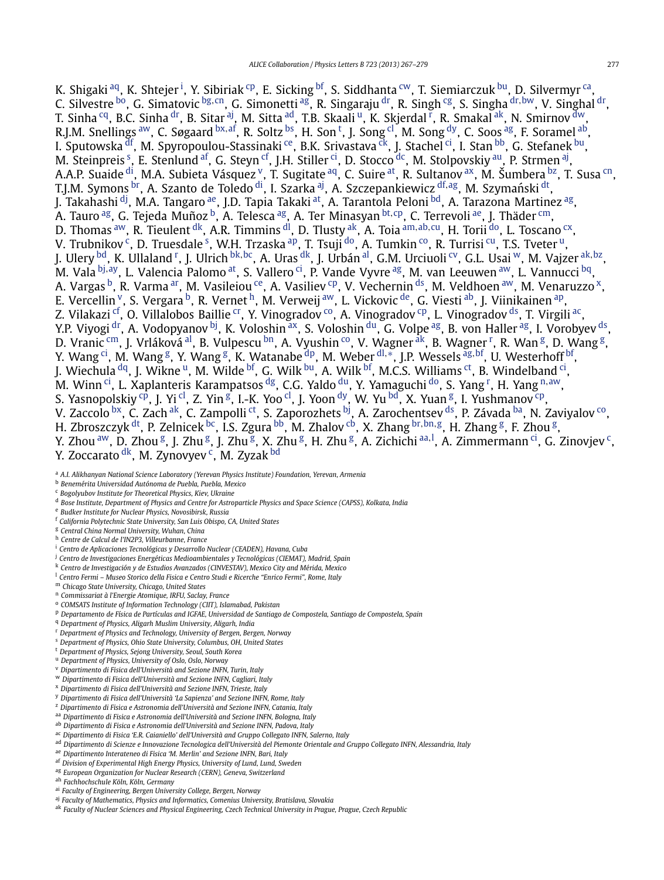<span id="page-10-0"></span>K. Shigaki <sup>aq</sup>, K. Shtejer <sup>i</sup>, Y. Sibiriak <sup>cp</sup>, E. Sicking <sup>bf</sup>, S. Siddhanta <sup>cw</sup>, T. Siemiarczuk <sup>[bu](#page-11-0)</sup>, D. Silvermyr <sup>ca</sup>, C. Silvestre [bo](#page-11-0), G. Simatovic [bg](#page-11-0)*,*[cn,](#page-11-0) G. Simonetti ag, R. Singaraju [dr,](#page-12-0) R. Singh [cg,](#page-11-0) S. Singha [dr](#page-12-0)*,*[bw,](#page-11-0) V. Singhal [dr,](#page-12-0) T. Sinha <sup>cq</sup>, B.C. Sinha <sup>dr</sup>, B. Sitar <sup>aj</sup>, M. Sitta <sup>ad</sup>, T.B. Skaali <sup>u</sup>, K. Skjerdal <sup>r</sup>, R. Smakal <sup>ak</sup>, N. Smirnov <sup>dw</sup>, R.J.M. Snellings <sup>aw</sup>, C. Søgaard <sup>[bx](#page-11-0),af</sup>, R. Soltz <sup>bs</sup>, H. Son <sup>t</sup>, J. Song <sup>cl</sup>, M. Song <sup>dy</sup>, C. Soos <sup>ag</sup>, F. Soramel <sup>ab</sup>, I. Sputowska <sup>df</sup>, M. Spyropoulou-Stassinaki <sup>[ce](#page-11-0)</sup>, B.K. Srivastava <sup>ck</sup>, J. Stachel <sup>ci</sup>, I. Stan <sup>bb</sup>, G. Stefanek <sup>[bu](#page-11-0)</sup>, M. Steinpreis <sup>s</sup>, E. Stenlund <sup>af</sup>, G. Steyn <sup>cf</sup>, J.H. Stiller <sup>ci</sup>, D. Stocco <sup>dc</sup>, M. Stolpovskiy <sup>[au](#page-11-0)</sup>, P. Strmen <sup>aj</sup>, A.A.P. Suaide <sup>di</sup>, M.A. Subieta Vásquez <sup>v</sup>, T. Sugitate <sup>[aq](#page-11-0)</sup>, C. Suire <sup>at</sup>, R. Sultanov <sup>[ax](#page-11-0)</sup>, M. Šumbera <sup>bz</sup>, T. Susa <sup>cn</sup>, T.J.M. Symons <sup>br</sup>, A. Szanto de Toledo <sup>di</sup>, I. Szarka <sup>aj</sup>, A. Szczepankiewicz <sup>[df](#page-11-0),ag</sup>, M. Szymański <sup>dt</sup>, J. Takahashi <sup>[dj](#page-11-0)</sup>, M.A. Tangaro <sup>ae</sup>, J.D. Tapia Takaki <sup>at</sup>, A. Tarantola Peloni <sup>bd</sup>, A. Tarazona Martinez <sup>ag</sup>, A. Tauro ag, G. Tejeda Muñoz b, A. Telesca ag, A. Ter Minasyan [bt](#page-11-0)*,*[cp,](#page-11-0) C. Terrevoli ae, J. Thäder [cm,](#page-11-0) D. Thomas <sup>aw</sup>, R. Tieulent <sup>dk</sup>, A.R. Timmins <sup>[dl](#page-11-0)</sup>, D. Tlusty <sup>ak</sup>, A. Toia <sup>[am](#page-11-0),ab,cu</sup>, H. Torii <sup>do</sup>, L. Toscano <sup>cx</sup>, V. Trubnikov <sup>c</sup>, D. Truesdale <sup>s</sup>, W.H. Trzaska <sup>ap</sup>, T. Tsuji <sup>do</sup>, A. Tumkin <sup>co</sup>, R. Turrisi <sup>cu</sup>, T.S. Tveter <sup>u</sup>, J. Ulery <sup>bd</sup>, K. Ullaland <sup>r</sup>, J. Ulrich <sup>[bk](#page-11-0),bc</sup>, A. Uras <sup>[dk](#page-11-0)</sup>, J. Urbán <sup>al</sup>, G.M. Urciuoli <sup>cv</sup>, G.L. Usai <sup>w</sup>, M. Vajzer <sup>ak,bz</sup>, M. Vala <sup>[bj](#page-11-0),ay</sup>, L. Valen[ci](#page-11-0)a Palomo <sup>at</sup>, S. Vallero <sup>ci</sup>, P. Vande Vyvre <sup>ag</sup>, M. van Leeuwen <sup>aw</sup>, L. Vannucci <sup>bq</sup>, A. Vargas <sup>b</sup>, R. Varma [ar,](#page-11-0) M. Vasileiou <sup>ce</sup>, A. Vasiliev <sup>cp</sup>, V. Vechernin [ds,](#page-12-0) M. Veldhoen [aw,](#page-11-0) M. Venaruzzo x, E. Vercellin  $V$ , S. Vergara  $\overline{D}$ , R. Vernet  $\overline{D}$ , M. Verweij  $\overline{d}$ , L. Vickovic  $\overline{d}$ , G. Viesti  $\overline{d}$ , J. Viinikainen  $\overline{d}$ , z. Vilakazi <sup>cf</sup>, O. Villalobos Baillie <sup>cr</sup>, Y. Vinogradov <sup>co</sup>, A. Vinogradov <sup>cp</sup>, L. Vinogradov <sup>[ds](#page-12-0)</sup>, T. Virgili <sup>ac</sup>, Y.P. Viyogi <sup>dr</sup>, A. Vodopyanov <sup>bj</sup>, K. Voloshin <sup>ax</sup>, S. Voloshin <sup>du</sup>, G. Volpe <sup>ag</sup>, B. von Haller <sup>ag</sup>, I. Vorobyev <sup>ds</sup>, D. Vranic <sup>cm</sup>, J. Vrláková <sup>al</sup>, B. Vulpescu <sup>bn</sup>, A. Vyushin <sup>[co](#page-11-0)</sup>, V. Wagner <sup>ak</sup>, B. Wagner <sup>r</sup>, R. Wan <sup>g</sup>, D. Wang <sup>g</sup>, Y. Wang [ci,](#page-11-0) M. Wang g, Y. Wang g, K. Watanabe [dp,](#page-12-0) M. Weber [dl](#page-11-0)*,*[∗](#page-12-0), J.P. Wessels ag*,*[bf,](#page-11-0) U. Westerhoff [bf,](#page-11-0) J. Wiechula <sup>dq</sup>, J. Wikne <sup>u</sup>, M. Wilde <sup>bf</sup>, G. Wilk <sup>bu</sup>, A. Wilk <sup>bf</sup>, M.C.S. Williams <sup>ct</sup>, B. Windelband <sup>ci</sup>, M. Winn <sup>ci</sup>, L. Xaplanteris Karampatsos <sup>dg</sup>, C.G. Yaldo <sup>du</sup>, Y. Yamaguchi <sup>do</sup>, S. Yang <sup>r</sup>, H. Yang <sup>n,aw</sup>, S. Yasnopolskiy <sup>cp</sup>, J. Yi <sup>cl</sup>, Z. Yin <sup>g</sup>, I.-K. Yoo <sup>cl</sup>, J. Yoon <sup>dy</sup>, W. Yu <sup>bd</sup>, X. Yuan <sup>g</sup>, I. Yushmanov <sup>cp</sup>, V. Zaccolo <sup>bx</sup>, C. Zach <sup>ak</sup>, C. Zampolli <sup>ct</sup>, S. Zaporozhets <sup>bj</sup>, A. Zarochentsev <sup>ds</sup>, P. Závada <sup>ba</sup>, N. Zaviyalov <sup>co</sup>, H. Zbroszczyk [dt,](#page-12-0) P. Zelnicek [bc,](#page-11-0) I.S. Zgura [bb,](#page-11-0) M. Zhalov [cb,](#page-11-0) X. Zhang [br](#page-11-0)*,*[bn](#page-11-0)*,*g, H. Zhang g, F. Zhou g, Y. Zhou <sup>aw</sup>, D. Zhou <sup>g</sup>, J. Zhu <sup>g</sup>, J. Zhu <sup>g</sup>, X. Zhu <sup>g</sup>, H. Zhu <sup>g</sup>, A. Zichichi <sup>aa, l</sup>, A. Zimmermann <sup>ci</sup>, G. Zinovjev <sup>c</sup>, Y. Zoccarato <sup>dk</sup>, M. Zynovyev<sup>c</sup>, M. Zyzak [bd](#page-11-0)

<sup>a</sup> *A.I. Alikhanyan National Science Laboratory (Yerevan Physics Institute) Foundation, Yerevan, Armenia*

- <sup>b</sup> *Benemérita Universidad Autónoma de Puebla, Puebla, Mexico*
- <sup>c</sup> *Bogolyubov Institute for Theoretical Physics, Kiev, Ukraine*
- <sup>d</sup> *Bose Institute, Department of Physics and Centre for Astroparticle Physics and Space Science (CAPSS), Kolkata, India*
- <sup>e</sup> *Budker Institute for Nuclear Physics, Novosibirsk, Russia*
- <sup>f</sup> *California Polytechnic State University, San Luis Obispo, CA, United States*
- <sup>g</sup> *Central China Normal University, Wuhan, China*
- <sup>h</sup> *Centre de Calcul de l'IN2P3, Villeurbanne, France*

#### <sup>i</sup> *Centro de Aplicaciones Tecnológicas y Desarrollo Nuclear (CEADEN), Havana, Cuba*

- <sup>j</sup> *Centro de Investigaciones Energéticas Medioambientales y Tecnológicas (CIEMAT), Madrid, Spain*
- <sup>k</sup> *Centro de Investigación y de Estudios Avanzados (CINVESTAV), Mexico City and Mérida, Mexico*
- <sup>l</sup> *Centro Fermi Museo Storico della Fisica e Centro Studi e Ricerche "Enrico Fermi", Rome, Italy*
- <sup>m</sup> *Chicago State University, Chicago, United States*
- <sup>n</sup> *Commissariat à l'Energie Atomique, IRFU, Saclay, France*
- <sup>o</sup> *COMSATS Institute of Information Technology (CIIT), Islamabad, Pakistan*
- <sup>p</sup> *Departamento de Física de Partículas and IGFAE, Universidad de Santiago de Compostela, Santiago de Compostela, Spain*
- <sup>q</sup> *Department of Physics, Aligarh Muslim University, Aligarh, India*
- <sup>r</sup> *Department of Physics and Technology, University of Bergen, Bergen, Norway*
- <sup>s</sup> *Department of Physics, Ohio State University, Columbus, OH, United States*
- <sup>t</sup> *Department of Physics, Sejong University, Seoul, South Korea*
- <sup>u</sup> *Department of Physics, University of Oslo, Oslo, Norway*
- <sup>v</sup> *Dipartimento di Fisica dell'Università and Sezione INFN, Turin, Italy*
- <sup>w</sup> *Dipartimento di Fisica dell'Università and Sezione INFN, Cagliari, Italy*
- <sup>x</sup> *Dipartimento di Fisica dell'Università and Sezione INFN, Trieste, Italy*
- <sup>y</sup> *Dipartimento di Fisica dell'Università 'La Sapienza' and Sezione INFN, Rome, Italy*
- <sup>z</sup> *Dipartimento di Fisica e Astronomia dell'Università and Sezione INFN, Catania, Italy*
- aa *Dipartimento di Fisica e Astronomia dell'Università and Sezione INFN, Bologna, Italy*
- ab *Dipartimento di Fisica e Astronomia dell'Università and Sezione INFN, Padova, Italy*
- ac *Dipartimento di Fisica 'E.R. Caianiello' dell'Università and Gruppo Collegato INFN, Salerno, Italy*
- ad *Dipartimento di Scienze e Innovazione Tecnologica dell'Università del Piemonte Orientale and Gruppo Collegato INFN, Alessandria, Italy*
- ae *Dipartimento Interateneo di Fisica 'M. Merlin' and Sezione INFN, Bari, Italy*
- af *Division of Experimental High Energy Physics, University of Lund, Lund, Sweden*
- ag *European Organization for Nuclear Research (CERN), Geneva, Switzerland*
- ah *Fachhochschule Köln, Köln, Germany*
- ai *Faculty of Engineering, Bergen University College, Bergen, Norway*
- aj *Faculty of Mathematics, Physics and Informatics, Comenius University, Bratislava, Slovakia*
- ak *Faculty of Nuclear Sciences and Physical Engineering, Czech Technical University in Prague, Prague, Czech Republic*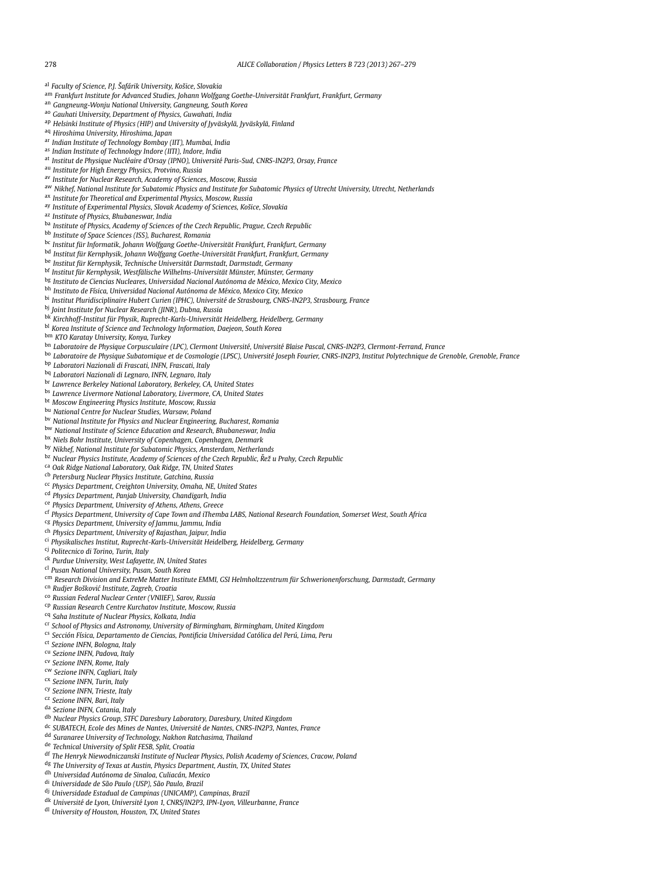<span id="page-11-0"></span>al *Faculty of Science, P.J. Šafárik University, Košice, Slovakia*

- am *Frankfurt Institute for Advanced Studies, Johann Wolfgang Goethe-Universität Frankfurt, Frankfurt, Germany*
- an *Gangneung-Wonju National University, Gangneung, South Korea*
- ao *Gauhati University, Department of Physics, Guwahati, India*
- ap *Helsinki Institute of Physics (HIP) and University of Jyväskylä, Jyväskylä, Finland*
- aq *Hiroshima University, Hiroshima, Japan*
- ar *Indian Institute of Technology Bombay (IIT), Mumbai, India*
- as *Indian Institute of Technology Indore (IITI), Indore, India*
- at *Institut de Physique Nucléaire d'Orsay (IPNO), Université Paris-Sud, CNRS-IN2P3, Orsay, France*
- au *Institute for High Energy Physics, Protvino, Russia*
- av *Institute for Nuclear Research, Academy of Sciences, Moscow, Russia*
- aw *Nikhef, National Institute for Subatomic Physics and Institute for Subatomic Physics of Utrecht University, Utrecht, Netherlands*
- ax *Institute for Theoretical and Experimental Physics, Moscow, Russia*
- ay *Institute of Experimental Physics, Slovak Academy of Sciences, Košice, Slovakia*
- az *Institute of Physics, Bhubaneswar, India*
- ba *Institute of Physics, Academy of Sciences of the Czech Republic, Prague, Czech Republic*
- bb *Institute of Space Sciences (ISS), Bucharest, Romania*
- bc *Institut für Informatik, Johann Wolfgang Goethe-Universität Frankfurt, Frankfurt, Germany*
- bd *Institut für Kernphysik, Johann Wolfgang Goethe-Universität Frankfurt, Frankfurt, Germany*
- be *Institut für Kernphysik, Technische Universität Darmstadt, Darmstadt, Germany*
- bf *Institut für Kernphysik, Westfälische Wilhelms-Universität Münster, Münster, Germany*
- bg *Instituto de Ciencias Nucleares, Universidad Nacional Autónoma de México, Mexico City, Mexico*
- bh *Instituto de Física, Universidad Nacional Autónoma de México, Mexico City, Mexico*
- bi *Institut Pluridisciplinaire Hubert Curien (IPHC), Université de Strasbourg, CNRS-IN2P3, Strasbourg, France*
- bj *Joint Institute for Nuclear Research (JINR), Dubna, Russia*
- bk *Kirchhoff-Institut für Physik, Ruprecht-Karls-Universität Heidelberg, Heidelberg, Germany*
- bl *Korea Institute of Science and Technology Information, Daejeon, South Korea*
- bm *KTO Karatay University, Konya, Turkey*
- bn *Laboratoire de Physique Corpusculaire (LPC), Clermont Université, Université Blaise Pascal, CNRS-IN2P3, Clermont-Ferrand, France*
- bo *Laboratoire de Physique Subatomique et de Cosmologie (LPSC), Université Joseph Fourier, CNRS-IN2P3, Institut Polytechnique de Grenoble, Grenoble, France*
- bp *Laboratori Nazionali di Frascati, INFN, Frascati, Italy*
- bq *Laboratori Nazionali di Legnaro, INFN, Legnaro, Italy*
- br *Lawrence Berkeley National Laboratory, Berkeley, CA, United States*
- bs *Lawrence Livermore National Laboratory, Livermore, CA, United States*
- bt *Moscow Engineering Physics Institute, Moscow, Russia*
- bu *National Centre for Nuclear Studies, Warsaw, Poland*
- bv *National Institute for Physics and Nuclear Engineering, Bucharest, Romania*
- bw *National Institute of Science Education and Research, Bhubaneswar, India*
- bx *Niels Bohr Institute, University of Copenhagen, Copenhagen, Denmark*
- by *Nikhef, National Institute for Subatomic Physics, Amsterdam, Netherlands*
- bz *Nuclear Physics Institute, Academy of Sciences of the Czech Republic, Rež u Prahy, Czech Republic ˇ*
- ca *Oak Ridge National Laboratory, Oak Ridge, TN, United States*
- cb *Petersburg Nuclear Physics Institute, Gatchina, Russia*
- cc *Physics Department, Creighton University, Omaha, NE, United States*
- cd *Physics Department, Panjab University, Chandigarh, India*
- ce *Physics Department, University of Athens, Athens, Greece*
- cf *Physics Department, University of Cape Town and iThemba LABS, National Research Foundation, Somerset West, South Africa*
- cg *Physics Department, University of Jammu, Jammu, India*
- ch *Physics Department, University of Rajasthan, Jaipur, India*
- ci *Physikalisches Institut, Ruprecht-Karls-Universität Heidelberg, Heidelberg, Germany*
- cj *Politecnico di Torino, Turin, Italy*
- ck *Purdue University, West Lafayette, IN, United States*
- cl *Pusan National University, Pusan, South Korea*
- cm *Research Division and ExtreMe Matter Institute EMMI, GSI Helmholtzzentrum für Schwerionenforschung, Darmstadt, Germany*
- cn *Rudjer Boškovi´c Institute, Zagreb, Croatia*
- co *Russian Federal Nuclear Center (VNIIEF), Sarov, Russia*
- cp *Russian Research Centre Kurchatov Institute, Moscow, Russia*
- cq *Saha Institute of Nuclear Physics, Kolkata, India*
- cr *School of Physics and Astronomy, University of Birmingham, Birmingham, United Kingdom*
- cs *Sección Física, Departamento de Ciencias, Pontificia Universidad Católica del Perú, Lima, Peru*
- ct *Sezione INFN, Bologna, Italy*
- cu *Sezione INFN, Padova, Italy*
- cv *Sezione INFN, Rome, Italy*
- cw *Sezione INFN, Cagliari, Italy*
- cx *Sezione INFN, Turin, Italy*
- cy *Sezione INFN, Trieste, Italy*
- cz *Sezione INFN, Bari, Italy*
- da *Sezione INFN, Catania, Italy*
- db *Nuclear Physics Group, STFC Daresbury Laboratory, Daresbury, United Kingdom*
- dc *SUBATECH, Ecole des Mines de Nantes, Université de Nantes, CNRS-IN2P3, Nantes, France*
- dd *Suranaree University of Technology, Nakhon Ratchasima, Thailand*
- de *Technical University of Split FESB, Split, Croatia*
- df *The Henryk Niewodniczanski Institute of Nuclear Physics, Polish Academy of Sciences, Cracow, Poland*
- dg *The University of Texas at Austin, Physics Department, Austin, TX, United States*
- dh *Universidad Autónoma de Sinaloa, Culiacán, Mexico*
- di *Universidade de São Paulo (USP), São Paulo, Brazil*
- dj *Universidade Estadual de Campinas (UNICAMP), Campinas, Brazil*
- dk *Université de Lyon, Université Lyon 1, CNRS/IN2P3, IPN-Lyon, Villeurbanne, France*
- dl *University of Houston, Houston, TX, United States*